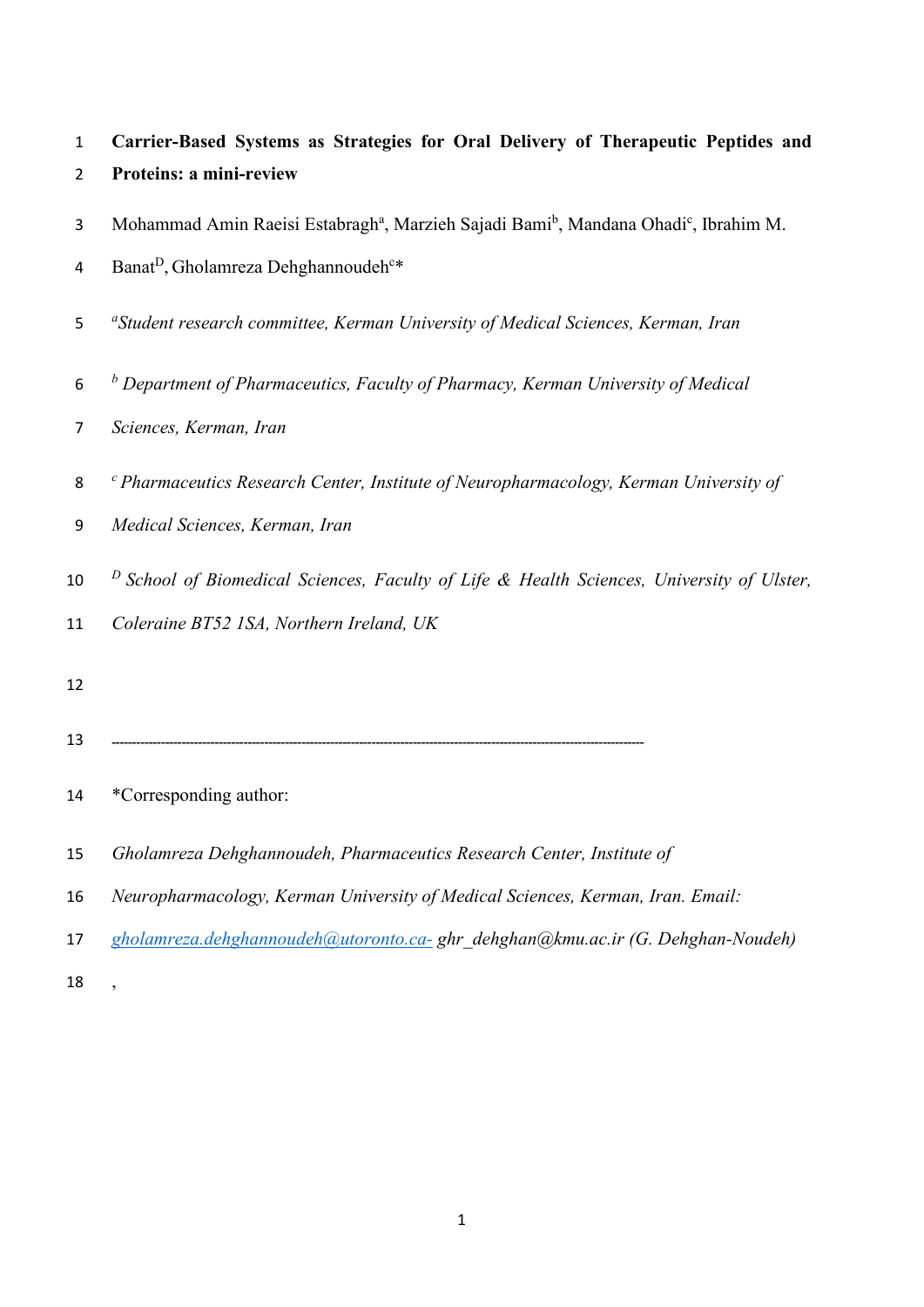| $\mathbf{1}$   | Carrier-Based Systems as Strategies for Oral Delivery of Therapeutic Peptides and                                        |
|----------------|--------------------------------------------------------------------------------------------------------------------------|
| $\overline{2}$ | Proteins: a mini-review                                                                                                  |
| 3              | Mohammad Amin Raeisi Estabragh <sup>a</sup> , Marzieh Sajadi Bami <sup>b</sup> , Mandana Ohadi <sup>c</sup> , Ibrahim M. |
| 4              | Banat <sup>D</sup> , Gholamreza Dehghannoudeh <sup>c*</sup>                                                              |
| 5              | <sup>a</sup> Student research committee, Kerman University of Medical Sciences, Kerman, Iran                             |
| 6              | $b$ Department of Pharmaceutics, Faculty of Pharmacy, Kerman University of Medical                                       |
| 7              | Sciences, Kerman, Iran                                                                                                   |
| 8              | $\epsilon$ Pharmaceutics Research Center, Institute of Neuropharmacology, Kerman University of                           |
| 9              | Medical Sciences, Kerman, Iran                                                                                           |
| 10             | $D$ School of Biomedical Sciences, Faculty of Life & Health Sciences, University of Ulster,                              |
| 11             | Coleraine BT52 1SA, Northern Ireland, UK                                                                                 |
| 12             |                                                                                                                          |
| 13             |                                                                                                                          |
| 14             | *Corresponding author:                                                                                                   |
| 15             | Gholamreza Dehghannoudeh, Pharmaceutics Research Center, Institute of                                                    |
| 16             | Neuropharmacology, Kerman University of Medical Sciences, Kerman, Iran. Email:                                           |
| 17             | gholamreza.dehghannoudeh@utoronto.ca-ghr dehghan@kmu.ac.ir (G. Dehghan-Noudeh)                                           |
| 18             |                                                                                                                          |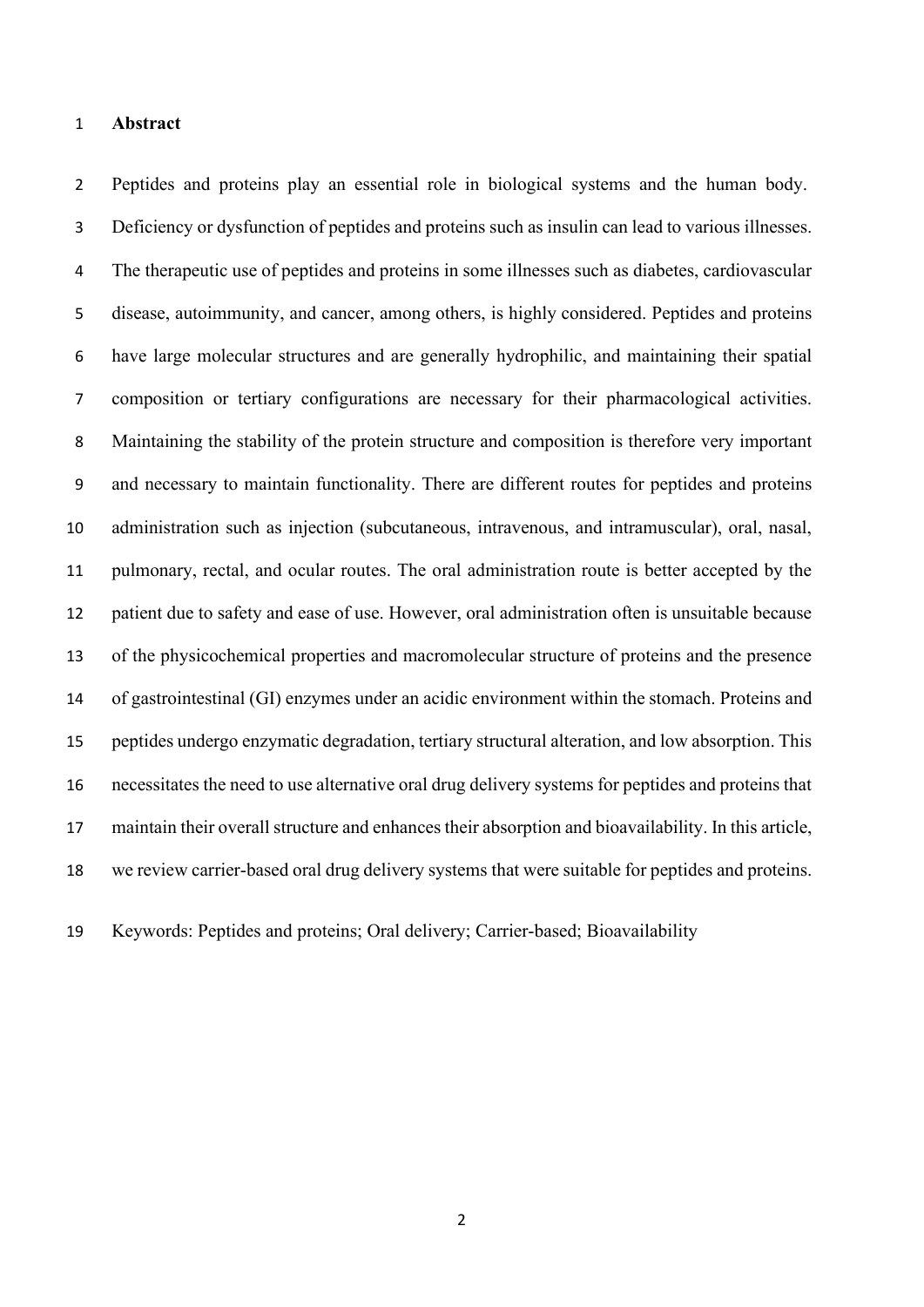#### **Abstract**

 Peptides and proteins play an essential role in biological systems and the human body. Deficiency or dysfunction of peptides and proteins such as insulin can lead to various illnesses. The therapeutic use of peptides and proteins in some illnesses such as diabetes, cardiovascular disease, autoimmunity, and cancer, among others, is highly considered. Peptides and proteins have large molecular structures and are generally hydrophilic, and maintaining their spatial composition or tertiary configurations are necessary for their pharmacological activities. Maintaining the stability of the protein structure and composition is therefore very important and necessary to maintain functionality. There are different routes for peptides and proteins administration such as injection (subcutaneous, intravenous, and intramuscular), oral, nasal, pulmonary, rectal, and ocular routes. The oral administration route is better accepted by the patient due to safety and ease of use. However, oral administration often is unsuitable because of the physicochemical properties and macromolecular structure of proteins and the presence of gastrointestinal (GI) enzymes under an acidic environment within the stomach. Proteins and peptides undergo enzymatic degradation, tertiary structural alteration, and low absorption. This necessitates the need to use alternative oral drug delivery systems for peptides and proteins that maintain their overall structure and enhances their absorption and bioavailability. In this article, we review carrier-based oral drug delivery systems that were suitable for peptides and proteins.

Keywords: Peptides and proteins; Oral delivery; Carrier-based; Bioavailability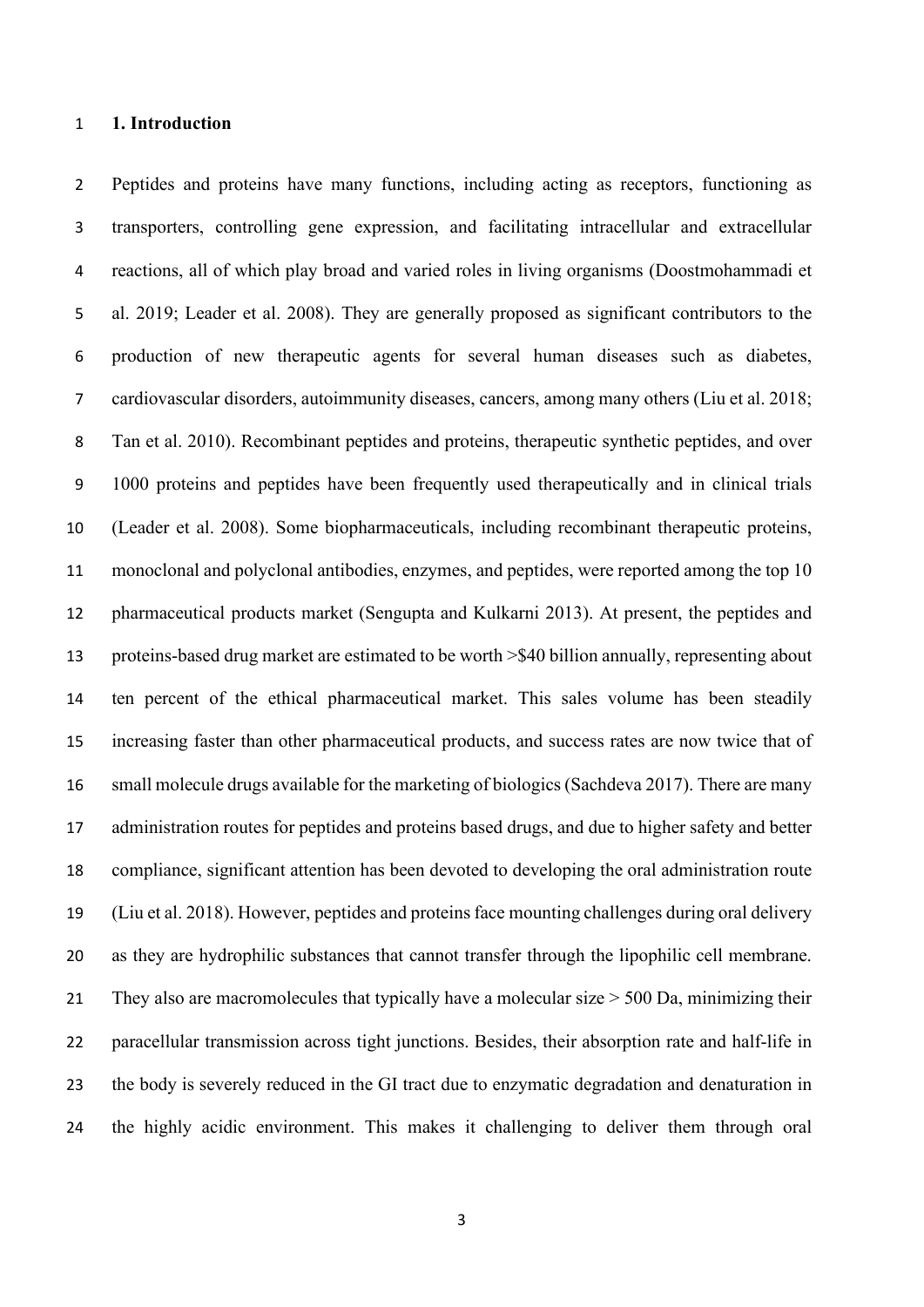#### **1. Introduction**

 Peptides and proteins have many functions, including acting as receptors, functioning as transporters, controlling gene expression, and facilitating intracellular and extracellular reactions, all of which play broad and varied roles in living organisms (Doostmohammadi et al. 2019; Leader et al. 2008). They are generally proposed as significant contributors to the production of new therapeutic agents for several human diseases such as diabetes, cardiovascular disorders, autoimmunity diseases, cancers, among many others (Liu et al. 2018; Tan et al. 2010). Recombinant peptides and proteins, therapeutic synthetic peptides, and over 1000 proteins and peptides have been frequently used therapeutically and in clinical trials (Leader et al. 2008). Some biopharmaceuticals, including recombinant therapeutic proteins, monoclonal and polyclonal antibodies, enzymes, and peptides, were reported among the top 10 pharmaceutical products market (Sengupta and Kulkarni 2013). At present, the peptides and proteins-based drug market are estimated to be worth >\$40 billion annually, representing about ten percent of the ethical pharmaceutical market. This sales volume has been steadily increasing faster than other pharmaceutical products, and success rates are now twice that of small molecule drugs available for the marketing of biologics (Sachdeva 2017). There are many administration routes for peptides and proteins based drugs, and due to higher safety and better compliance, significant attention has been devoted to developing the oral administration route (Liu et al. 2018). However, peptides and proteins face mounting challenges during oral delivery as they are hydrophilic substances that cannot transfer through the lipophilic cell membrane. 21 They also are macromolecules that typically have a molecular size > 500 Da, minimizing their paracellular transmission across tight junctions. Besides, their absorption rate and half-life in the body is severely reduced in the GI tract due to enzymatic degradation and denaturation in the highly acidic environment. This makes it challenging to deliver them through oral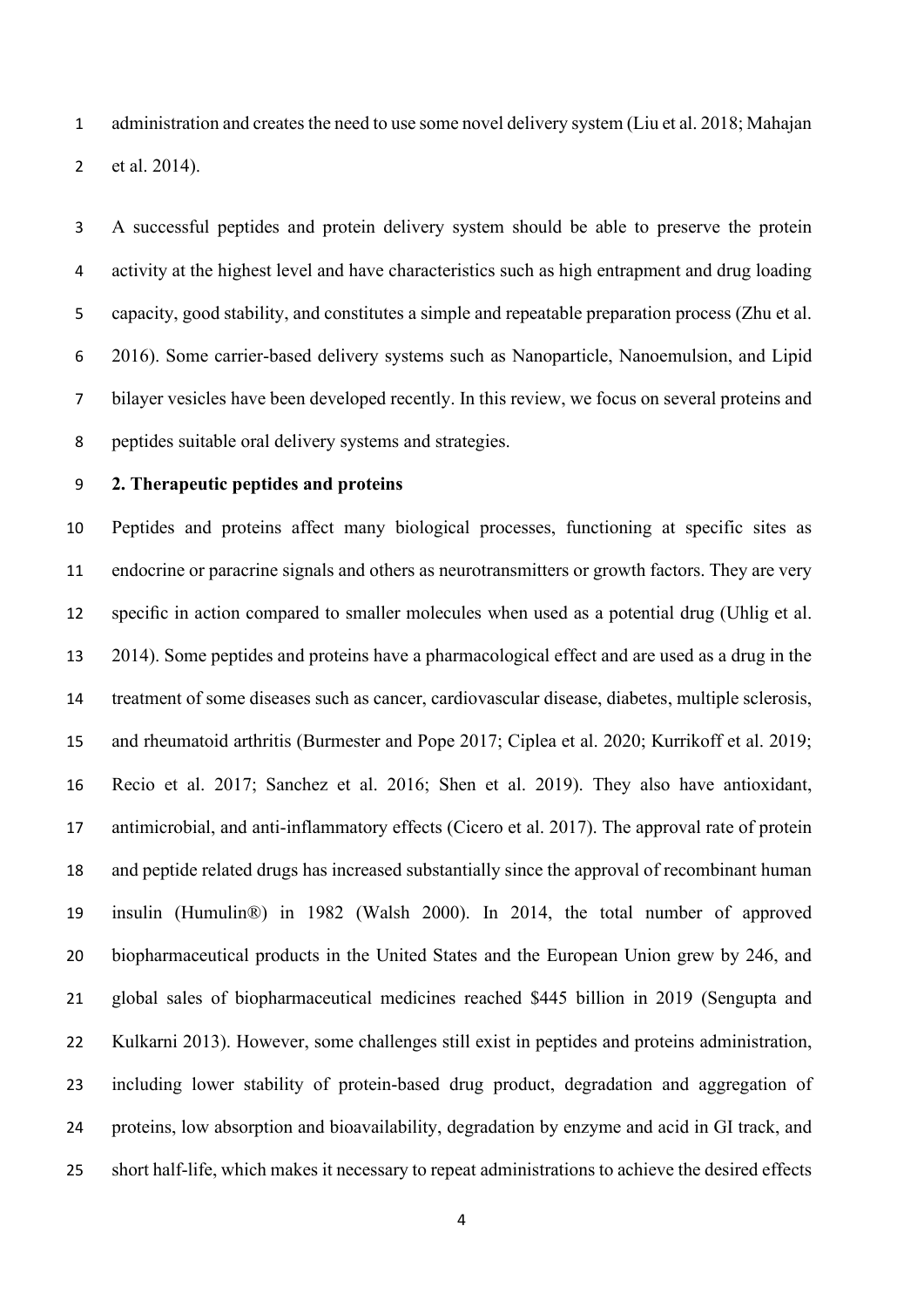administration and creates the need to use some novel delivery system (Liu et al. 2018; Mahajan et al. 2014).

 A successful peptides and protein delivery system should be able to preserve the protein activity at the highest level and have characteristics such as high entrapment and drug loading capacity, good stability, and constitutes a simple and repeatable preparation process (Zhu et al. 2016). Some carrier-based delivery systems such as Nanoparticle, Nanoemulsion, and Lipid bilayer vesicles have been developed recently. In this review, we focus on several proteins and peptides suitable oral delivery systems and strategies.

# **2. Therapeutic peptides and proteins**

 Peptides and proteins affect many biological processes, functioning at specific sites as endocrine or paracrine signals and others as neurotransmitters or growth factors. They are very specific in action compared to smaller molecules when used as a potential drug (Uhlig et al. 2014). Some peptides and proteins have a pharmacological effect and are used as a drug in the treatment of some diseases such as cancer, cardiovascular disease, diabetes, multiple sclerosis, and rheumatoid arthritis (Burmester and Pope 2017; Ciplea et al. 2020; Kurrikoff et al. 2019; Recio et al. 2017; Sanchez et al. 2016; Shen et al. 2019). They also have antioxidant, 17 antimicrobial, and anti-inflammatory effects (Cicero et al. 2017). The approval rate of protein and peptide related drugs has increased substantially since the approval of recombinant human insulin (Humulin®) in 1982 (Walsh 2000). In 2014, the total number of approved biopharmaceutical products in the United States and the European Union grew by 246, and global sales of biopharmaceutical medicines reached \$445 billion in 2019 (Sengupta and Kulkarni 2013). However, some challenges still exist in peptides and proteins administration, including lower stability of protein-based drug product, degradation and aggregation of proteins, low absorption and bioavailability, degradation by enzyme and acid in GI track, and short half-life, which makes it necessary to repeat administrations to achieve the desired effects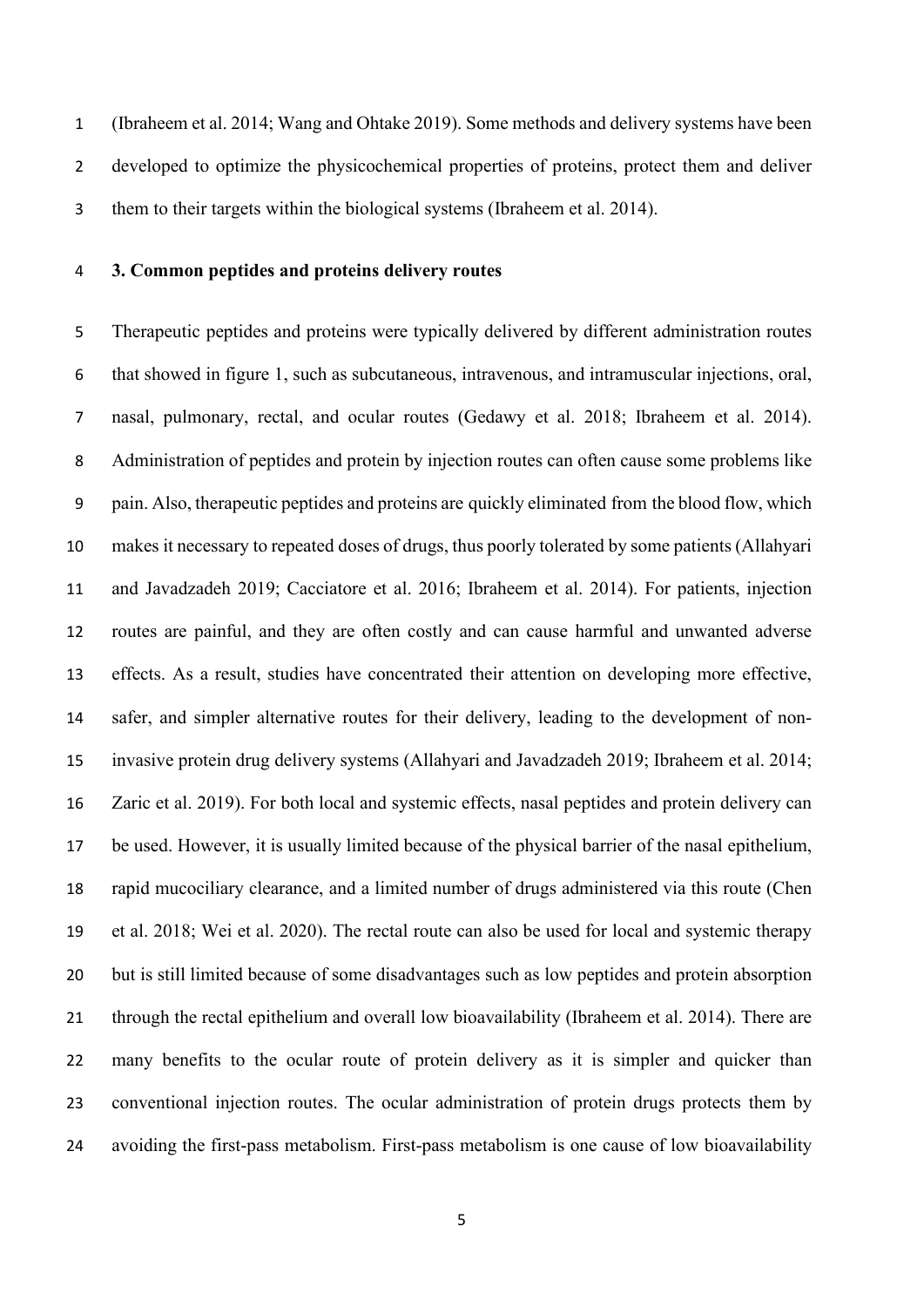(Ibraheem et al. 2014; Wang and Ohtake 2019). Some methods and delivery systems have been developed to optimize the physicochemical properties of proteins, protect them and deliver them to their targets within the biological systems (Ibraheem et al. 2014).

#### **3. Common peptides and proteins delivery routes**

 Therapeutic peptides and proteins were typically delivered by different administration routes that showed in figure 1, such as subcutaneous, intravenous, and intramuscular injections, oral, nasal, pulmonary, rectal, and ocular routes (Gedawy et al. 2018; Ibraheem et al. 2014). Administration of peptides and protein by injection routes can often cause some problems like pain. Also, therapeutic peptides and proteins are quickly eliminated from the blood flow, which makes it necessary to repeated doses of drugs, thus poorly tolerated by some patients (Allahyari and Javadzadeh 2019; Cacciatore et al. 2016; Ibraheem et al. 2014). For patients, injection routes are painful, and they are often costly and can cause harmful and unwanted adverse effects. As a result, studies have concentrated their attention on developing more effective, safer, and simpler alternative routes for their delivery, leading to the development of non- invasive protein drug delivery systems (Allahyari and Javadzadeh 2019; Ibraheem et al. 2014; Zaric et al. 2019). For both local and systemic effects, nasal peptides and protein delivery can be used. However, it is usually limited because of the physical barrier of the nasal epithelium, rapid mucociliary clearance, and a limited number of drugs administered via this route (Chen et al. 2018; Wei et al. 2020). The rectal route can also be used for local and systemic therapy but is still limited because of some disadvantages such as low peptides and protein absorption through the rectal epithelium and overall low bioavailability (Ibraheem et al. 2014). There are many benefits to the ocular route of protein delivery as it is simpler and quicker than conventional injection routes. The ocular administration of protein drugs protects them by avoiding the first-pass metabolism. First-pass metabolism is one cause of low bioavailability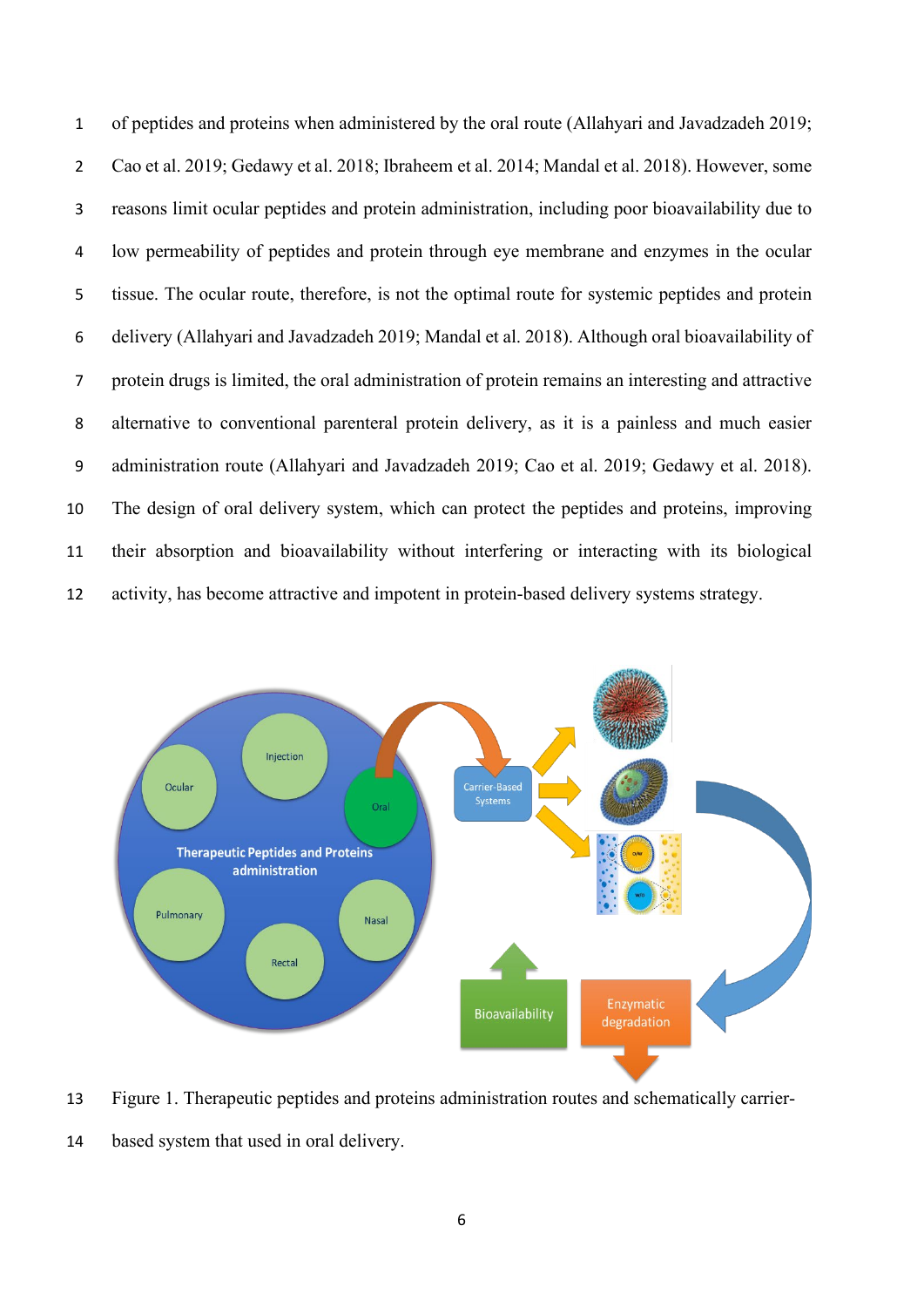of peptides and proteins when administered by the oral route (Allahyari and Javadzadeh 2019; Cao et al. 2019; Gedawy et al. 2018; Ibraheem et al. 2014; Mandal et al. 2018). However, some reasons limit ocular peptides and protein administration, including poor bioavailability due to low permeability of peptides and protein through eye membrane and enzymes in the ocular tissue. The ocular route, therefore, is not the optimal route for systemic peptides and protein delivery (Allahyari and Javadzadeh 2019; Mandal et al. 2018). Although oral bioavailability of protein drugs is limited, the oral administration of protein remains an interesting and attractive alternative to conventional parenteral protein delivery, as it is a painless and much easier administration route (Allahyari and Javadzadeh 2019; Cao et al. 2019; Gedawy et al. 2018). The design of oral delivery system, which can protect the peptides and proteins, improving their absorption and bioavailability without interfering or interacting with its biological activity, has become attractive and impotent in protein-based delivery systems strategy.



 Figure 1. Therapeutic peptides and proteins administration routes and schematically carrier-based system that used in oral delivery.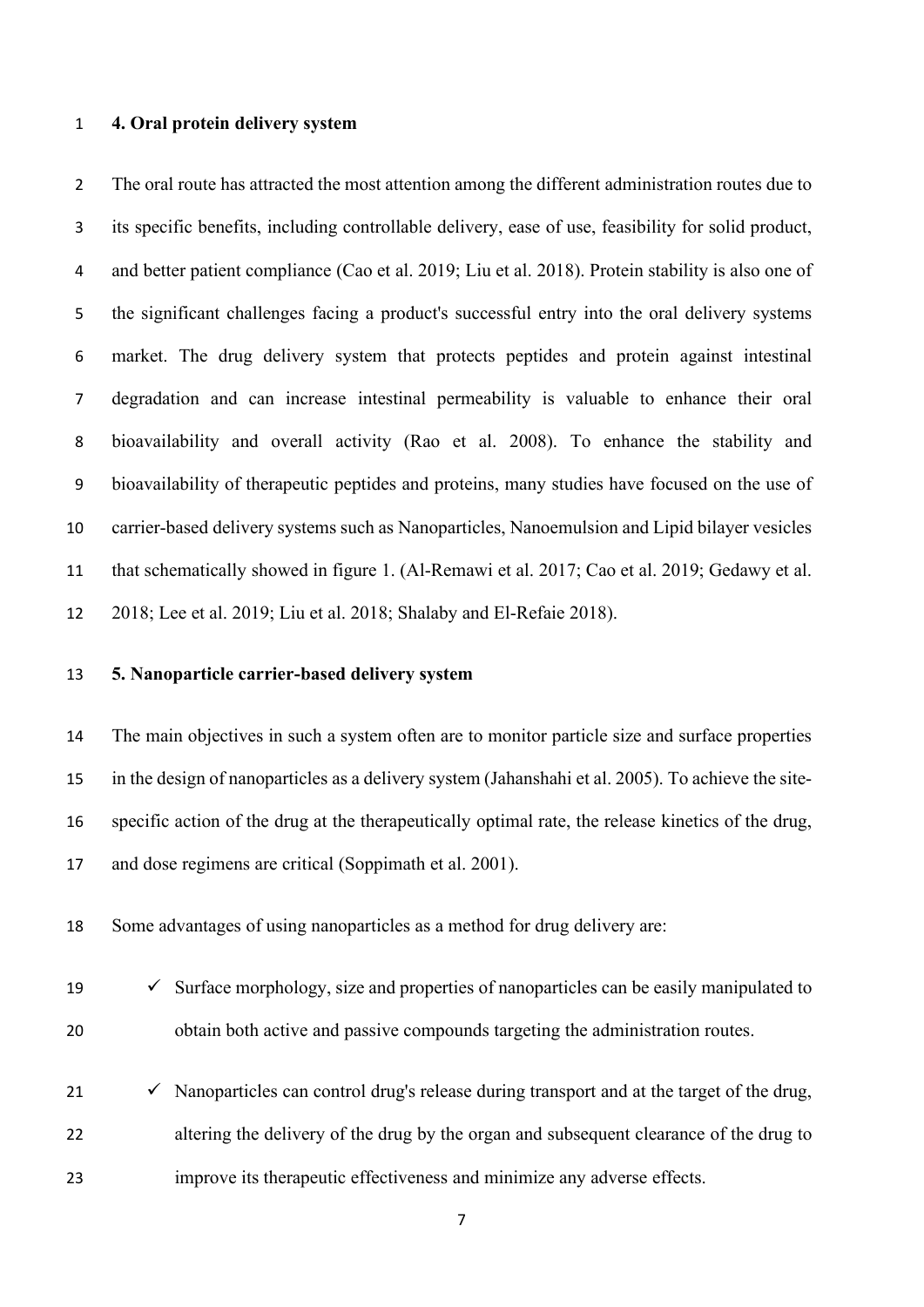#### **4. Oral protein delivery system**

2 The oral route has attracted the most attention among the different administration routes due to its specific benefits, including controllable delivery, ease of use, feasibility for solid product, and better patient compliance (Cao et al. 2019; Liu et al. 2018). Protein stability is also one of the significant challenges facing a product's successful entry into the oral delivery systems market. The drug delivery system that protects peptides and protein against intestinal degradation and can increase intestinal permeability is valuable to enhance their oral bioavailability and overall activity (Rao et al. 2008). To enhance the stability and bioavailability of therapeutic peptides and proteins, many studies have focused on the use of carrier-based delivery systems such as Nanoparticles, Nanoemulsion and Lipid bilayer vesicles that schematically showed in figure 1. (Al-Remawi et al. 2017; Cao et al. 2019; Gedawy et al. 2018; Lee et al. 2019; Liu et al. 2018; Shalaby and El-Refaie 2018).

# **5. Nanoparticle carrier-based delivery system**

 The main objectives in such a system often are to monitor particle size and surface properties in the design of nanoparticles as a delivery system (Jahanshahi et al. 2005). To achieve the site- specific action of the drug at the therapeutically optimal rate, the release kinetics of the drug, and dose regimens are critical (Soppimath et al. 2001).

Some advantages of using nanoparticles as a method for drug delivery are:

- 19  $\checkmark$  Surface morphology, size and properties of nanoparticles can be easily manipulated to obtain both active and passive compounds targeting the administration routes.
- $\checkmark$  Nanoparticles can control drug's release during transport and at the target of the drug, altering the delivery of the drug by the organ and subsequent clearance of the drug to improve its therapeutic effectiveness and minimize any adverse effects.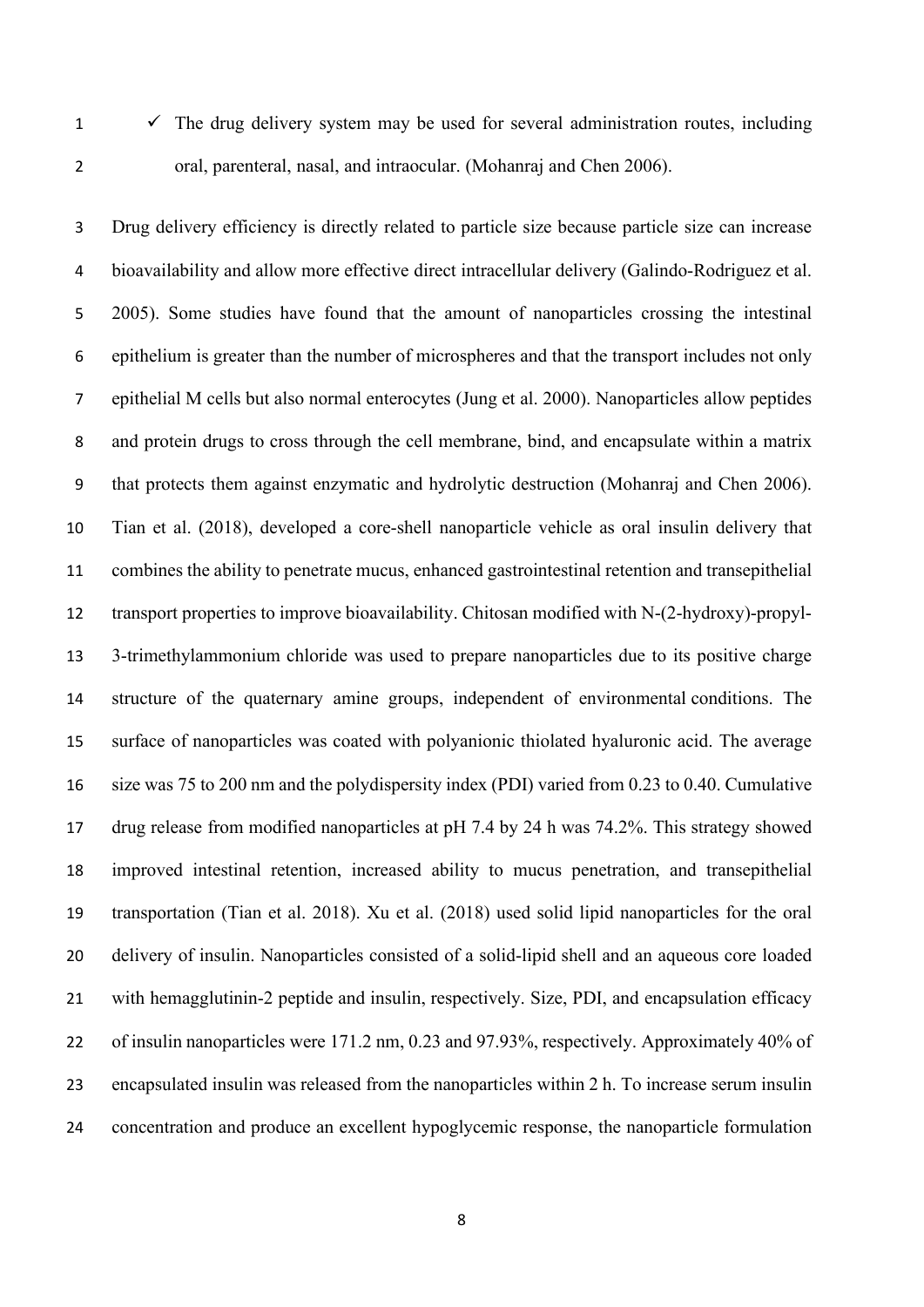$1 \times$  The drug delivery system may be used for several administration routes, including oral, parenteral, nasal, and intraocular. (Mohanraj and Chen 2006).

 Drug delivery efficiency is directly related to particle size because particle size can increase bioavailability and allow more effective direct intracellular delivery (Galindo-Rodriguez et al. 2005). Some studies have found that the amount of nanoparticles crossing the intestinal epithelium is greater than the number of microspheres and that the transport includes not only epithelial M cells but also normal enterocytes (Jung et al. 2000). Nanoparticles allow peptides and protein drugs to cross through the cell membrane, bind, and encapsulate within a matrix that protects them against enzymatic and hydrolytic destruction (Mohanraj and Chen 2006). Tian et al. (2018), developed a core-shell nanoparticle vehicle as oral insulin delivery that combines the ability to penetrate mucus, enhanced gastrointestinal retention and transepithelial transport properties to improve bioavailability. Chitosan modified with N-(2-hydroxy)-propyl- 3-trimethylammonium chloride was used to prepare nanoparticles due to its positive charge structure of the quaternary amine groups, independent of environmental conditions. The surface of nanoparticles was coated with polyanionic thiolated hyaluronic acid. The average size was 75 to 200 nm and the polydispersity index (PDI) varied from 0.23 to 0.40. Cumulative drug release from modified nanoparticles at pH 7.4 by 24 h was 74.2%. This strategy showed improved intestinal retention, increased ability to mucus penetration, and transepithelial transportation (Tian et al. 2018). Xu et al. (2018) used solid lipid nanoparticles for the oral delivery of insulin. Nanoparticles consisted of a solid-lipid shell and an aqueous core loaded with hemagglutinin-2 peptide and insulin, respectively. Size, PDI, and encapsulation efficacy of insulin nanoparticles were 171.2 nm, 0.23 and 97.93%, respectively. Approximately 40% of encapsulated insulin was released from the nanoparticles within 2 h. To increase serum insulin concentration and produce an excellent hypoglycemic response, the nanoparticle formulation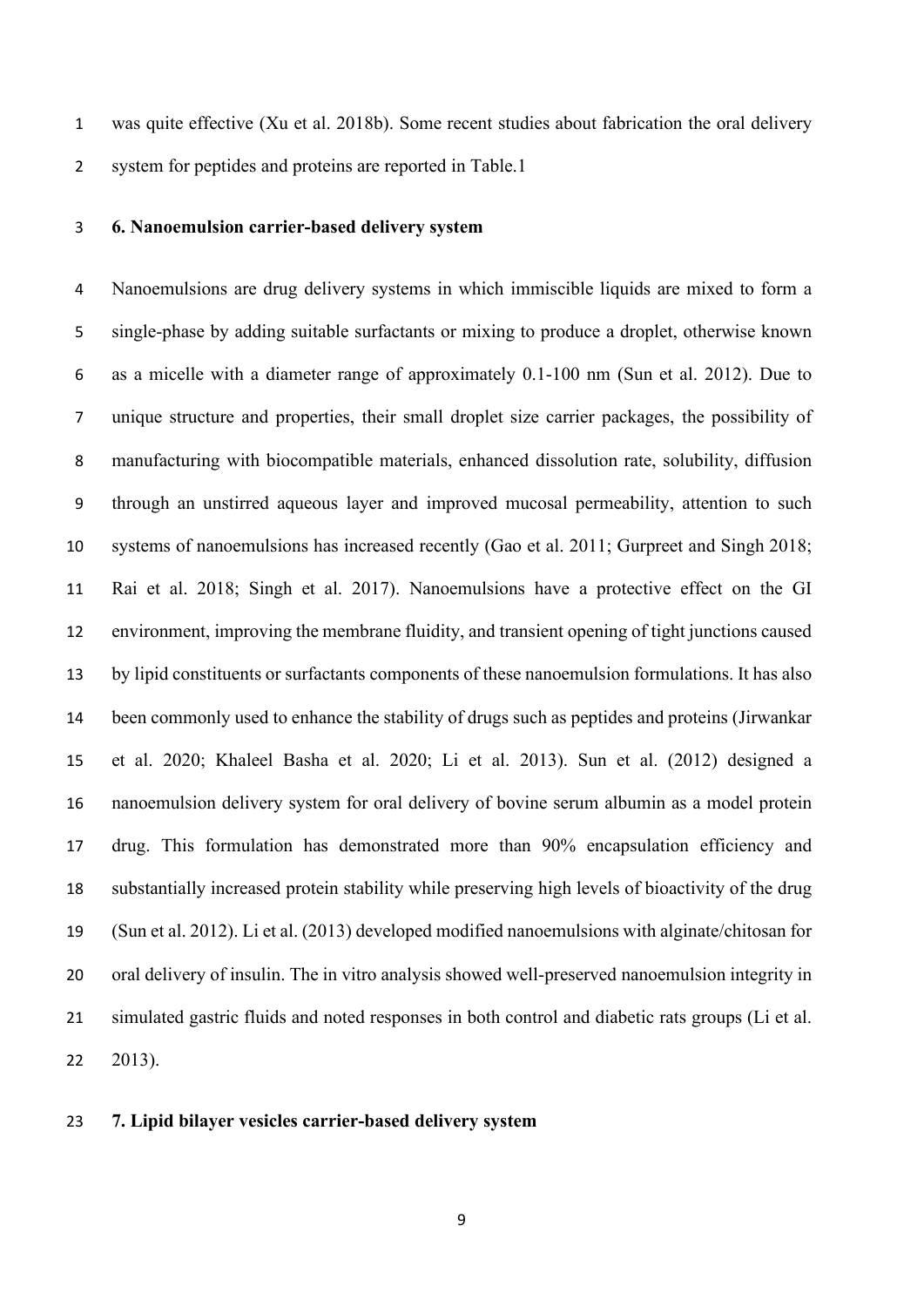was quite effective (Xu et al. 2018b). Some recent studies about fabrication the oral delivery system for peptides and proteins are reported in Table.1

#### **6. Nanoemulsion carrier-based delivery system**

 Nanoemulsions are drug delivery systems in which immiscible liquids are mixed to form a single-phase by adding suitable surfactants or mixing to produce a droplet, otherwise known as a micelle with a diameter range of approximately 0.1-100 nm (Sun et al. 2012). Due to unique structure and properties, their small droplet size carrier packages, the possibility of manufacturing with biocompatible materials, enhanced dissolution rate, solubility, diffusion through an unstirred aqueous layer and improved mucosal permeability, attention to such systems of nanoemulsions has increased recently (Gao et al. 2011; Gurpreet and Singh 2018; Rai et al. 2018; Singh et al. 2017). Nanoemulsions have a protective effect on the GI environment, improving the membrane fluidity, and transient opening of tight junctions caused by lipid constituents or surfactants components of these nanoemulsion formulations. It has also been commonly used to enhance the stability of drugs such as peptides and proteins (Jirwankar et al. 2020; Khaleel Basha et al. 2020; Li et al. 2013). [Sun](https://www.ncbi.nlm.nih.gov/pubmed/?term=Sun%20H%5BAuthor%5D&cauthor=true&cauthor_uid=23118537) et al. (2012) designed a nanoemulsion delivery system for oral delivery of bovine serum albumin as a model protein drug. This formulation has demonstrated more than 90% encapsulation efficiency and substantially increased protein stability while preserving high levels of bioactivity of the drug (Sun et al. 2012). Li et al. (2013) developed modified nanoemulsions with alginate/chitosan for oral delivery of insulin. The in vitro analysis showed well-preserved nanoemulsion integrity in simulated gastric fluids and noted responses in both control and diabetic rats groups (Li et al. 2013).

# **7. Lipid bilayer vesicles carrier-based delivery system**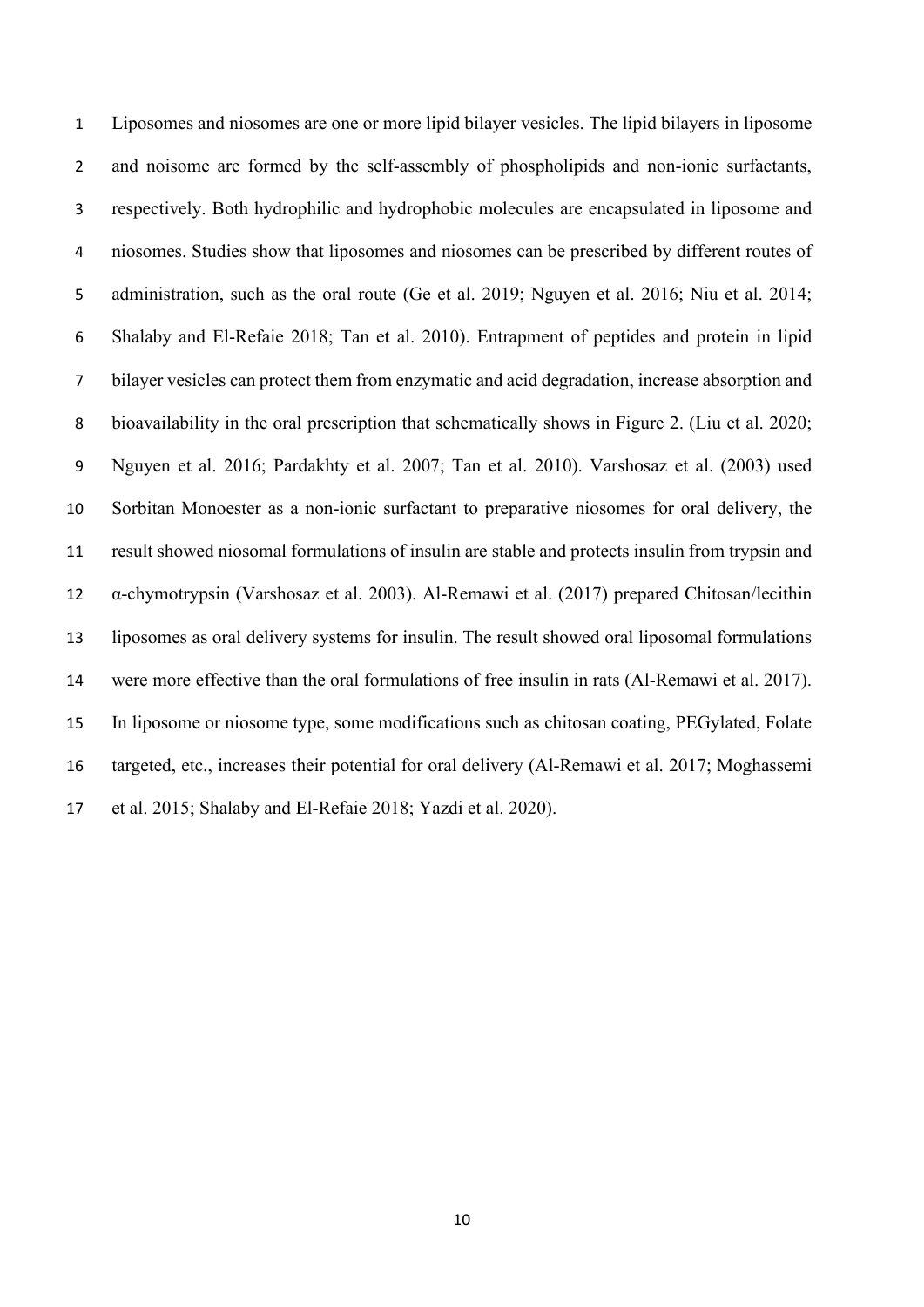Liposomes and niosomes are one or more lipid bilayer vesicles. The lipid bilayers in liposome and noisome are formed by the self-assembly of phospholipids and non-ionic surfactants, respectively. Both hydrophilic and hydrophobic molecules are encapsulated in liposome and niosomes. Studies show that liposomes and niosomes can be prescribed by different routes of administration, such as the oral route (Ge et al. 2019; Nguyen et al. 2016; Niu et al. 2014; Shalaby and El-Refaie 2018; Tan et al. 2010). Entrapment of peptides and protein in lipid bilayer vesicles can protect them from enzymatic and acid degradation, increase absorption and bioavailability in the oral prescription that schematically shows in Figure 2. (Liu et al. 2020; Nguyen et al. 2016; Pardakhty et al. 2007; Tan et al. 2010). Varshosaz et al. (2003) used Sorbitan Monoester as a non-ionic surfactant to preparative niosomes for oral delivery, the result showed niosomal formulations of insulin are stable and protects insulin from trypsin and α-chymotrypsin (Varshosaz et al. 2003). Al-Remawi et al. (2017) prepared Chitosan/lecithin liposomes as oral delivery systems for insulin. The result showed oral liposomal formulations were more effective than the oral formulations of free insulin in rats (Al-Remawi et al. 2017). In liposome or niosome type, some modifications such as chitosan coating, PEGylated, Folate targeted, etc., increases their potential for oral delivery (Al-Remawi et al. 2017; Moghassemi et al. 2015; Shalaby and El-Refaie 2018; Yazdi et al. 2020).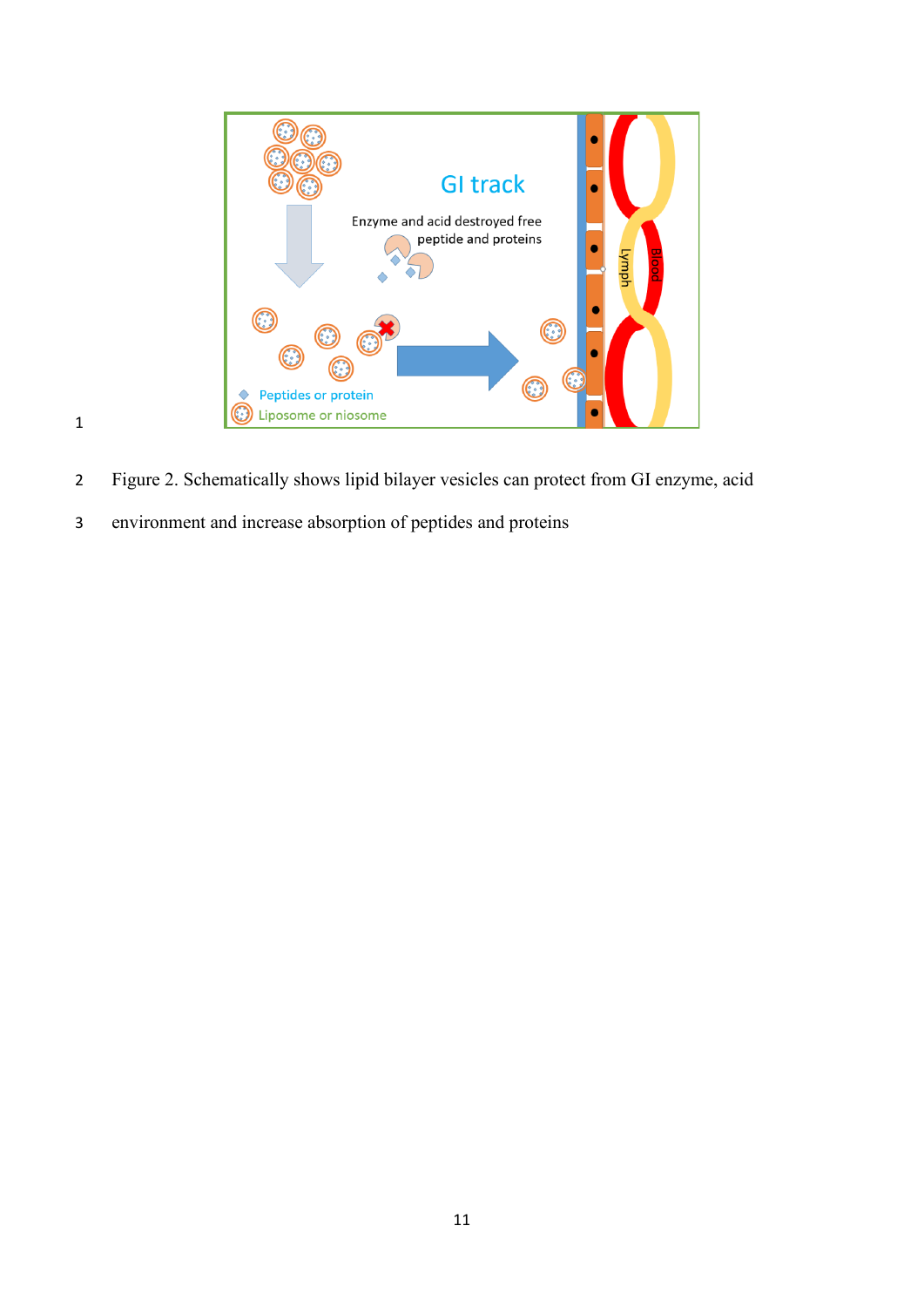

- Figure 2. Schematically shows lipid bilayer vesicles can protect from GI enzyme, acid
- environment and increase absorption of peptides and proteins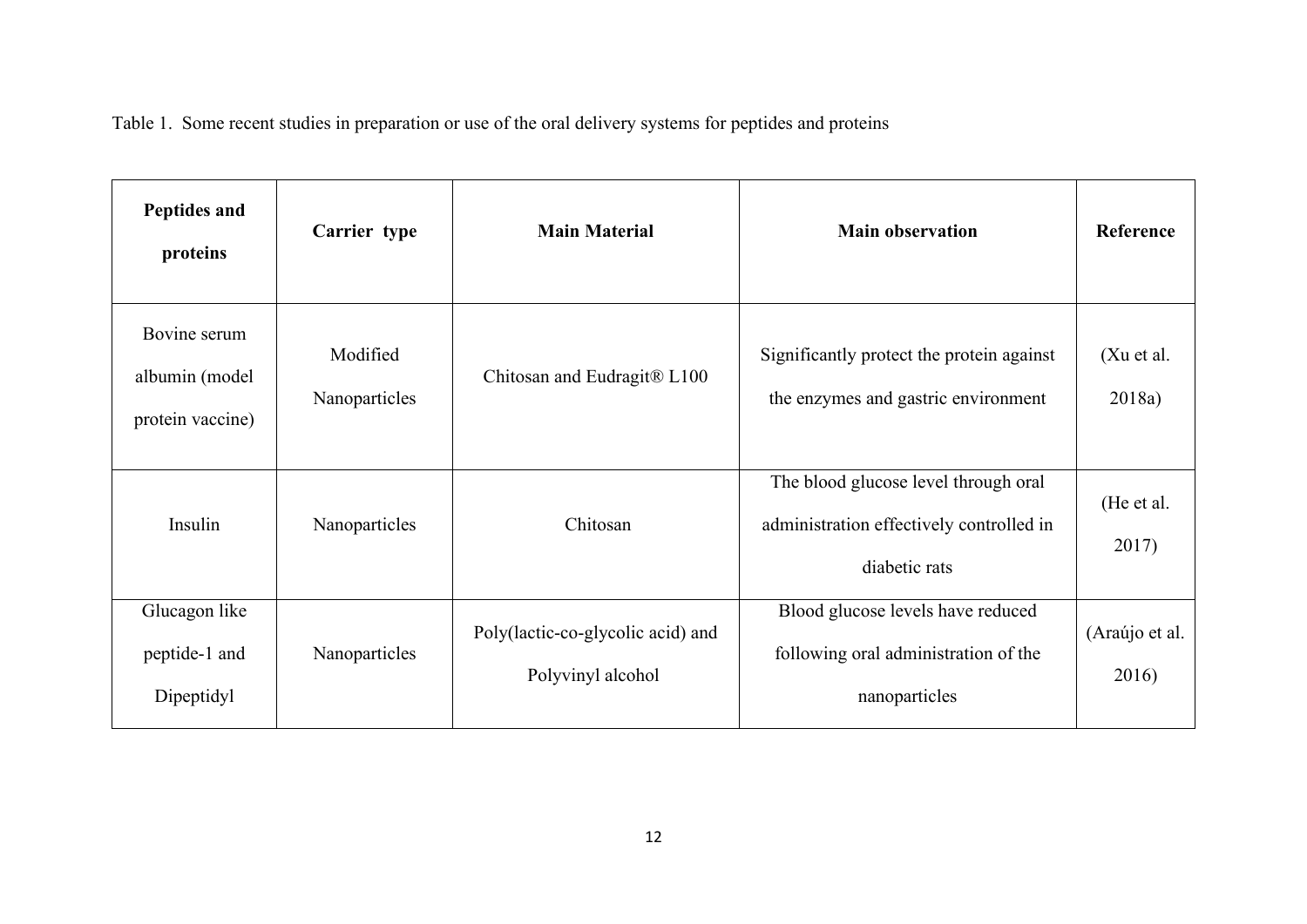Table 1. Some recent studies in preparation or use of the oral delivery systems for peptides and proteins

| Peptides and<br>proteins                           | Carrier type              | <b>Main Material</b>                                   | <b>Main observation</b>                                                                           | Reference               |
|----------------------------------------------------|---------------------------|--------------------------------------------------------|---------------------------------------------------------------------------------------------------|-------------------------|
| Bovine serum<br>albumin (model<br>protein vaccine) | Modified<br>Nanoparticles | Chitosan and Eudragit® L100                            | Significantly protect the protein against<br>the enzymes and gastric environment                  | (Xu et al.<br>2018a)    |
| Insulin                                            | Nanoparticles             | Chitosan                                               | The blood glucose level through oral<br>administration effectively controlled in<br>diabetic rats | (He et al.<br>2017)     |
| Glucagon like<br>peptide-1 and<br>Dipeptidyl       | Nanoparticles             | Poly(lactic-co-glycolic acid) and<br>Polyvinyl alcohol | Blood glucose levels have reduced<br>following oral administration of the<br>nanoparticles        | (Araújo et al.<br>2016) |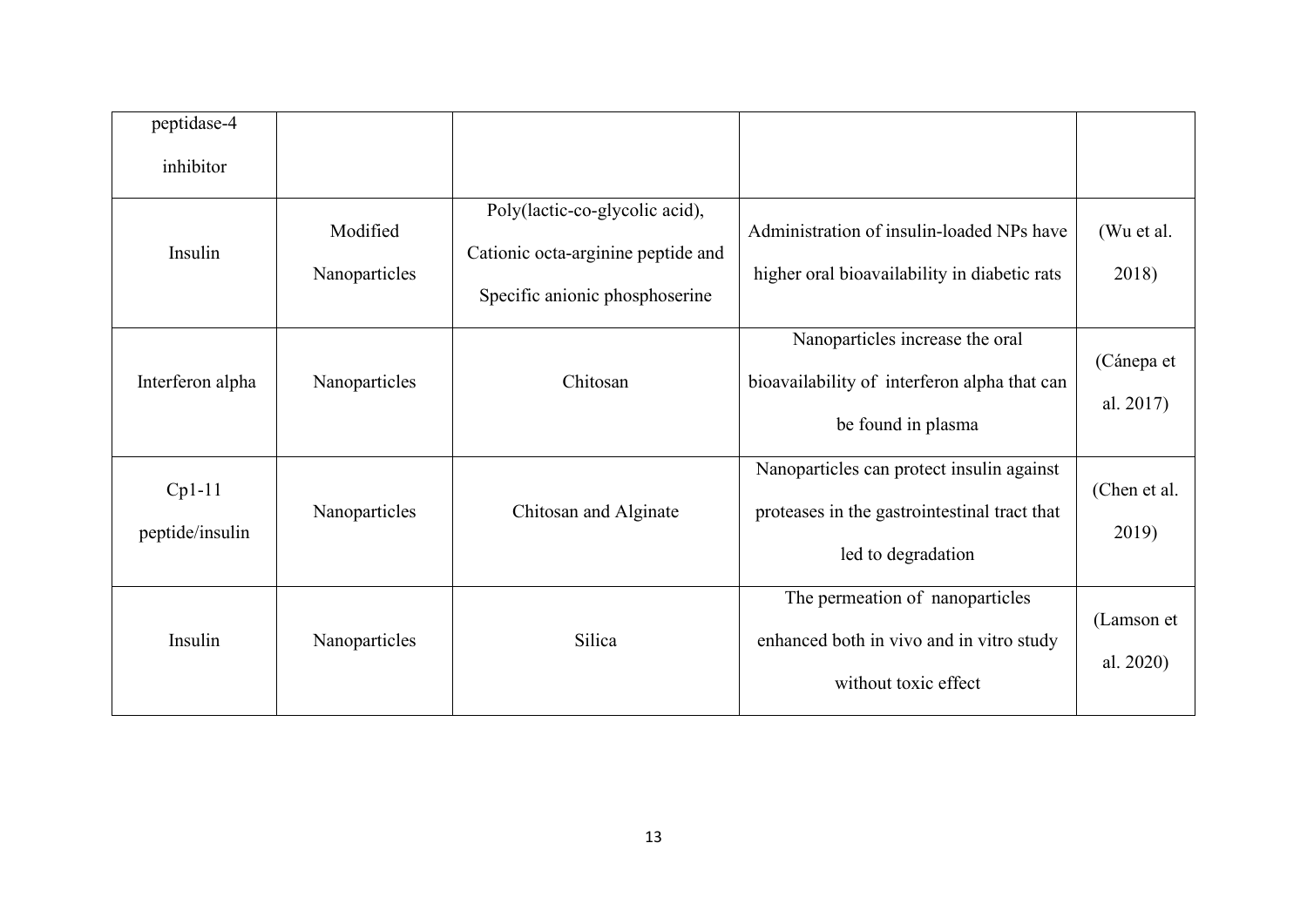| peptidase-4                 |                           |                                                                                                        |                                                                                                                 |                         |
|-----------------------------|---------------------------|--------------------------------------------------------------------------------------------------------|-----------------------------------------------------------------------------------------------------------------|-------------------------|
| inhibitor                   |                           |                                                                                                        |                                                                                                                 |                         |
| Insulin                     | Modified<br>Nanoparticles | Poly(lactic-co-glycolic acid),<br>Cationic octa-arginine peptide and<br>Specific anionic phosphoserine | Administration of insulin-loaded NPs have<br>higher oral bioavailability in diabetic rats                       | (Wu et al.<br>2018)     |
| Interferon alpha            | Nanoparticles             | Chitosan                                                                                               | Nanoparticles increase the oral<br>bioavailability of interferon alpha that can<br>be found in plasma           | (Cánepa et<br>al. 2017) |
| $Cp1-11$<br>peptide/insulin | Nanoparticles             | Chitosan and Alginate                                                                                  | Nanoparticles can protect insulin against<br>proteases in the gastrointestinal tract that<br>led to degradation | (Chen et al.<br>2019)   |
| Insulin                     | Nanoparticles             | Silica                                                                                                 | The permeation of nanoparticles<br>enhanced both in vivo and in vitro study<br>without toxic effect             | (Lamson et<br>al. 2020) |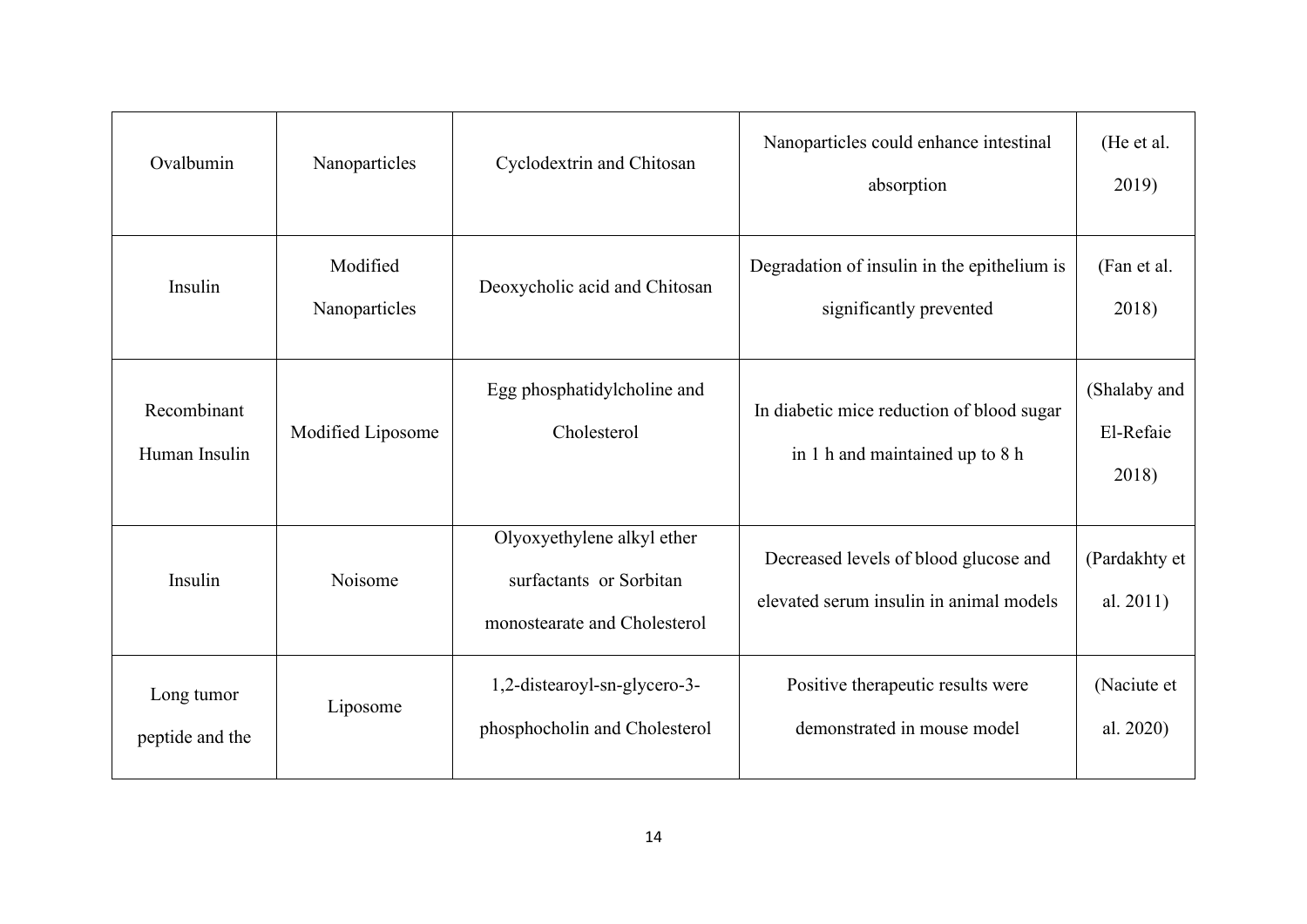| Ovalbumin                     | Nanoparticles             | Cyclodextrin and Chitosan                                                             | Nanoparticles could enhance intestinal<br>absorption                             | (He et al.<br>2019)                |
|-------------------------------|---------------------------|---------------------------------------------------------------------------------------|----------------------------------------------------------------------------------|------------------------------------|
| Insulin                       | Modified<br>Nanoparticles | Deoxycholic acid and Chitosan                                                         | Degradation of insulin in the epithelium is<br>significantly prevented           | (Fan et al.<br>2018)               |
| Recombinant<br>Human Insulin  | Modified Liposome         | Egg phosphatidylcholine and<br>Cholesterol                                            | In diabetic mice reduction of blood sugar<br>in 1 h and maintained up to 8 h     | (Shalaby and<br>El-Refaie<br>2018) |
| Insulin                       | Noisome                   | Olyoxyethylene alkyl ether<br>surfactants or Sorbitan<br>monostearate and Cholesterol | Decreased levels of blood glucose and<br>elevated serum insulin in animal models | (Pardakhty et<br>al. 2011)         |
| Long tumor<br>peptide and the | Liposome                  | 1,2-distearoyl-sn-glycero-3-<br>phosphocholin and Cholesterol                         | Positive therapeutic results were<br>demonstrated in mouse model                 | (Naciute et<br>al. 2020)           |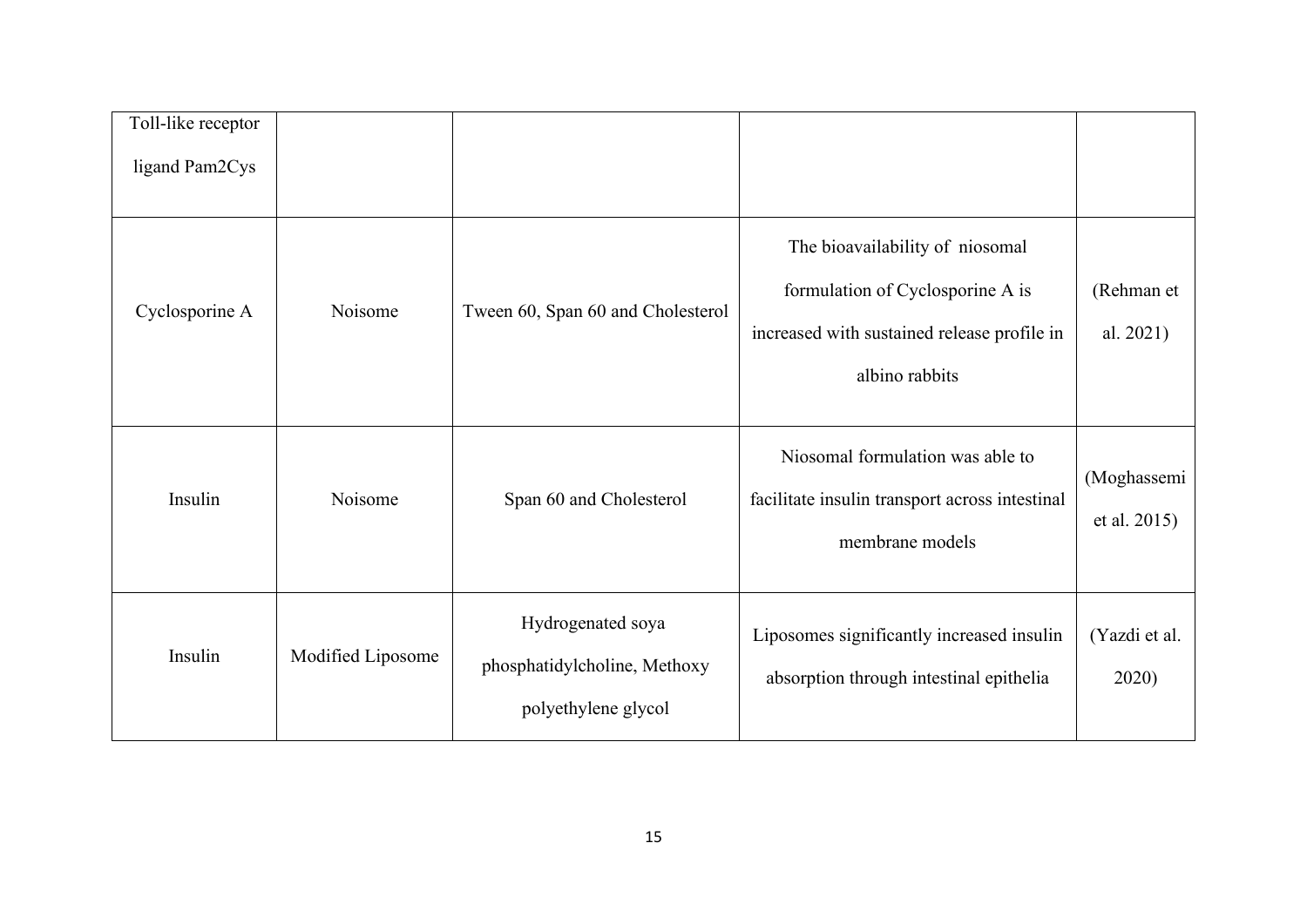| Toll-like receptor<br>ligand Pam2Cys |                   |                                                                          |                                                                                                                                      |                             |
|--------------------------------------|-------------------|--------------------------------------------------------------------------|--------------------------------------------------------------------------------------------------------------------------------------|-----------------------------|
| Cyclosporine A                       | Noisome           | Tween 60, Span 60 and Cholesterol                                        | The bioavailability of niosomal<br>formulation of Cyclosporine A is<br>increased with sustained release profile in<br>albino rabbits | (Rehman et<br>al. 2021)     |
| Insulin                              | Noisome           | Span 60 and Cholesterol                                                  | Niosomal formulation was able to<br>facilitate insulin transport across intestinal<br>membrane models                                | (Moghassemi<br>et al. 2015) |
| Insulin                              | Modified Liposome | Hydrogenated soya<br>phosphatidylcholine, Methoxy<br>polyethylene glycol | Liposomes significantly increased insulin<br>absorption through intestinal epithelia                                                 | (Yazdi et al.<br>2020)      |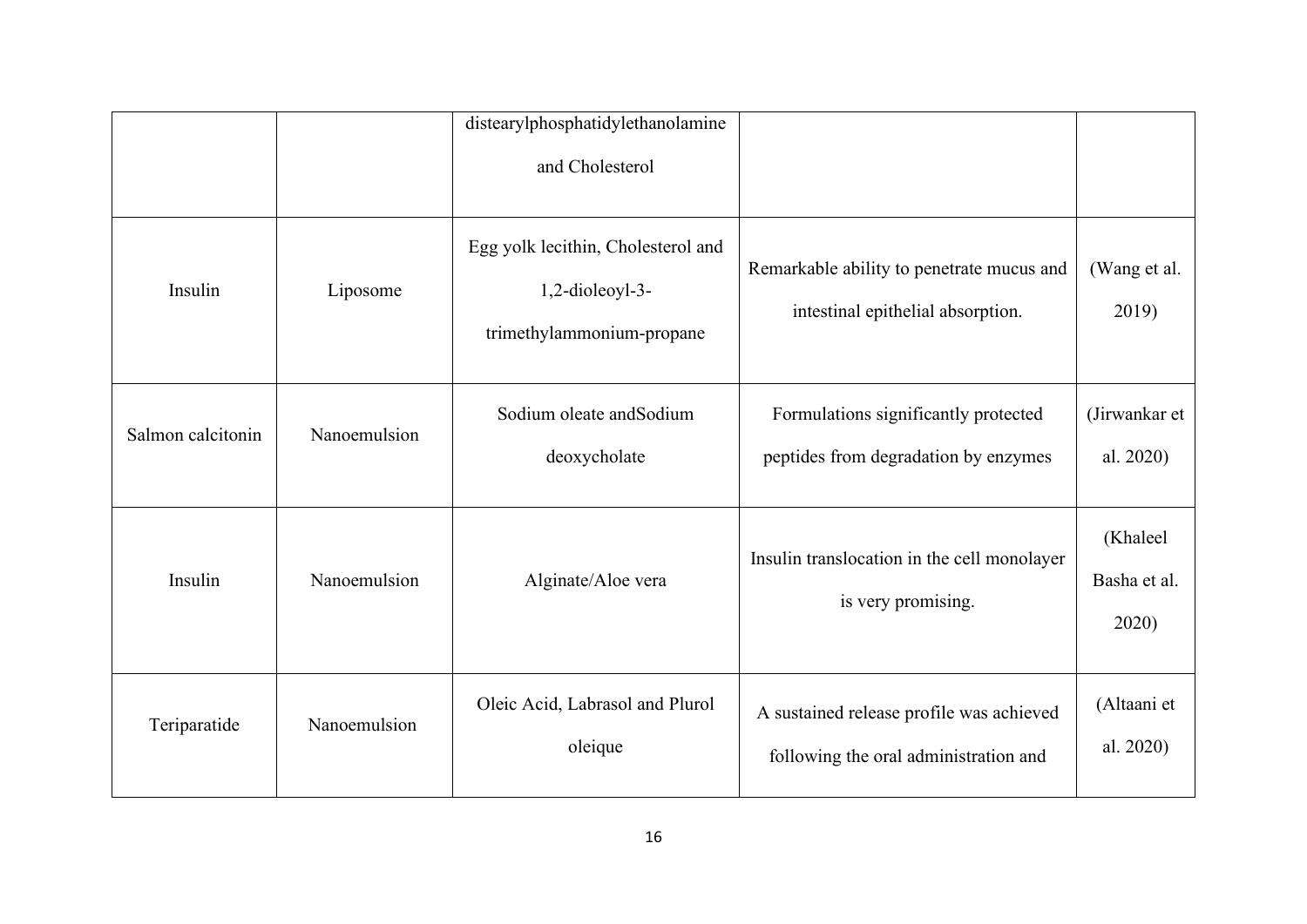|                   |              | distearylphosphatidylethanolamine<br>and Cholesterol                                  |                                                                                   |                                   |
|-------------------|--------------|---------------------------------------------------------------------------------------|-----------------------------------------------------------------------------------|-----------------------------------|
| Insulin           | Liposome     | Egg yolk lecithin, Cholesterol and<br>$1,2$ -dioleoyl-3-<br>trimethylammonium-propane | Remarkable ability to penetrate mucus and<br>intestinal epithelial absorption.    | (Wang et al.<br>2019)             |
| Salmon calcitonin | Nanoemulsion | Sodium oleate and Sodium<br>deoxycholate                                              | Formulations significantly protected<br>peptides from degradation by enzymes      | (Jirwankar et<br>al. 2020)        |
| Insulin           | Nanoemulsion | Alginate/Aloe vera                                                                    | Insulin translocation in the cell monolayer<br>is very promising.                 | (Khaleel<br>Basha et al.<br>2020) |
| Teriparatide      | Nanoemulsion | Oleic Acid, Labrasol and Plurol<br>oleique                                            | A sustained release profile was achieved<br>following the oral administration and | (Altaani et<br>al. 2020)          |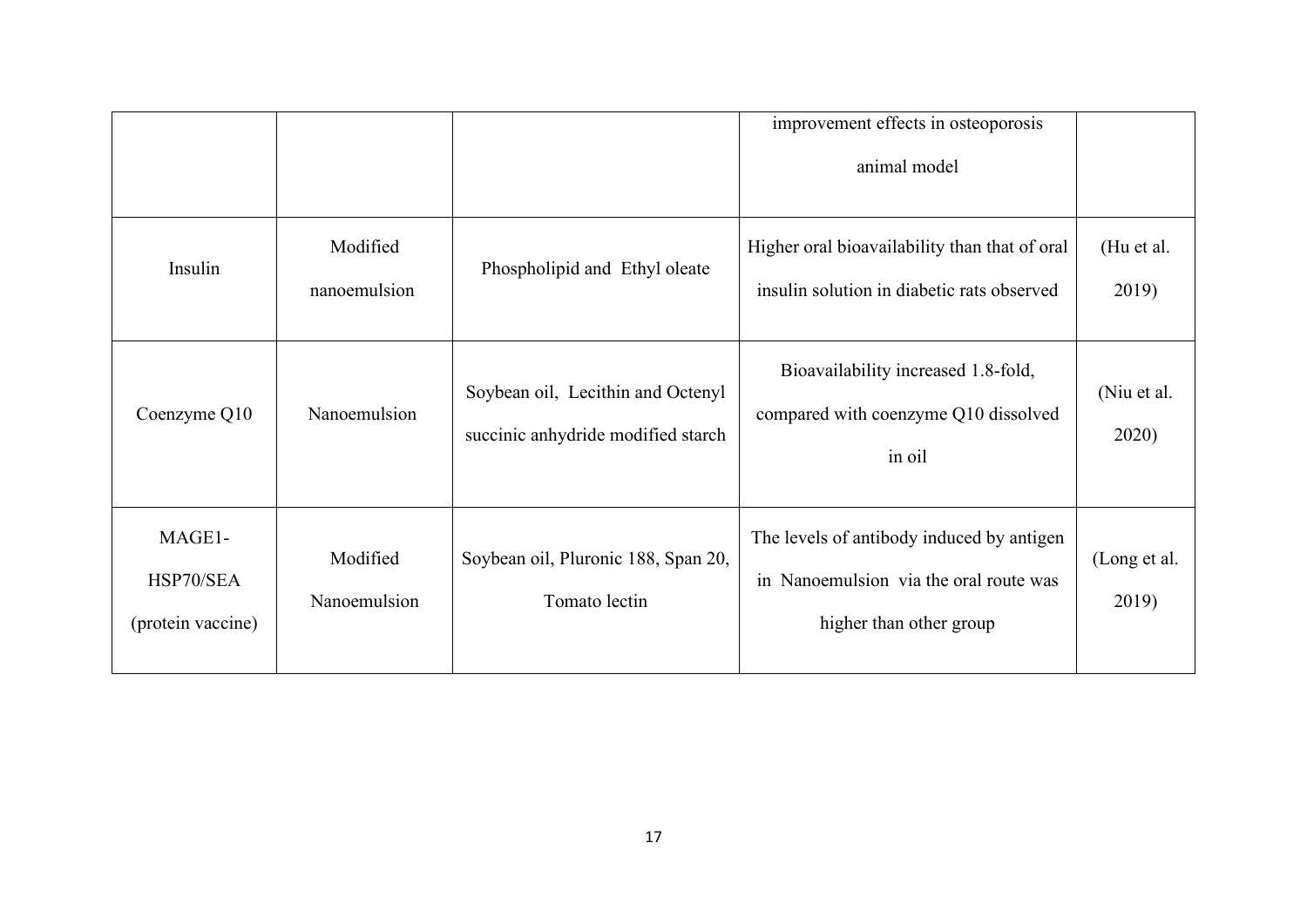|                                          |                          |                                                                         | improvement effects in osteoporosis<br>animal model                                                            |                       |
|------------------------------------------|--------------------------|-------------------------------------------------------------------------|----------------------------------------------------------------------------------------------------------------|-----------------------|
| Insulin                                  | Modified<br>nanoemulsion | Phospholipid and Ethyl oleate                                           | Higher oral bioavailability than that of oral<br>insulin solution in diabetic rats observed                    | (Hu et al.<br>2019)   |
| Coenzyme Q10                             | Nanoemulsion             | Soybean oil, Lecithin and Octenyl<br>succinic anhydride modified starch | Bioavailability increased 1.8-fold,<br>compared with coenzyme Q10 dissolved<br>in oil                          | (Niu et al.<br>2020)  |
| MAGE1-<br>HSP70/SEA<br>(protein vaccine) | Modified<br>Nanoemulsion | Soybean oil, Pluronic 188, Span 20,<br>Tomato lectin                    | The levels of antibody induced by antigen<br>in Nanoemulsion via the oral route was<br>higher than other group | (Long et al.<br>2019) |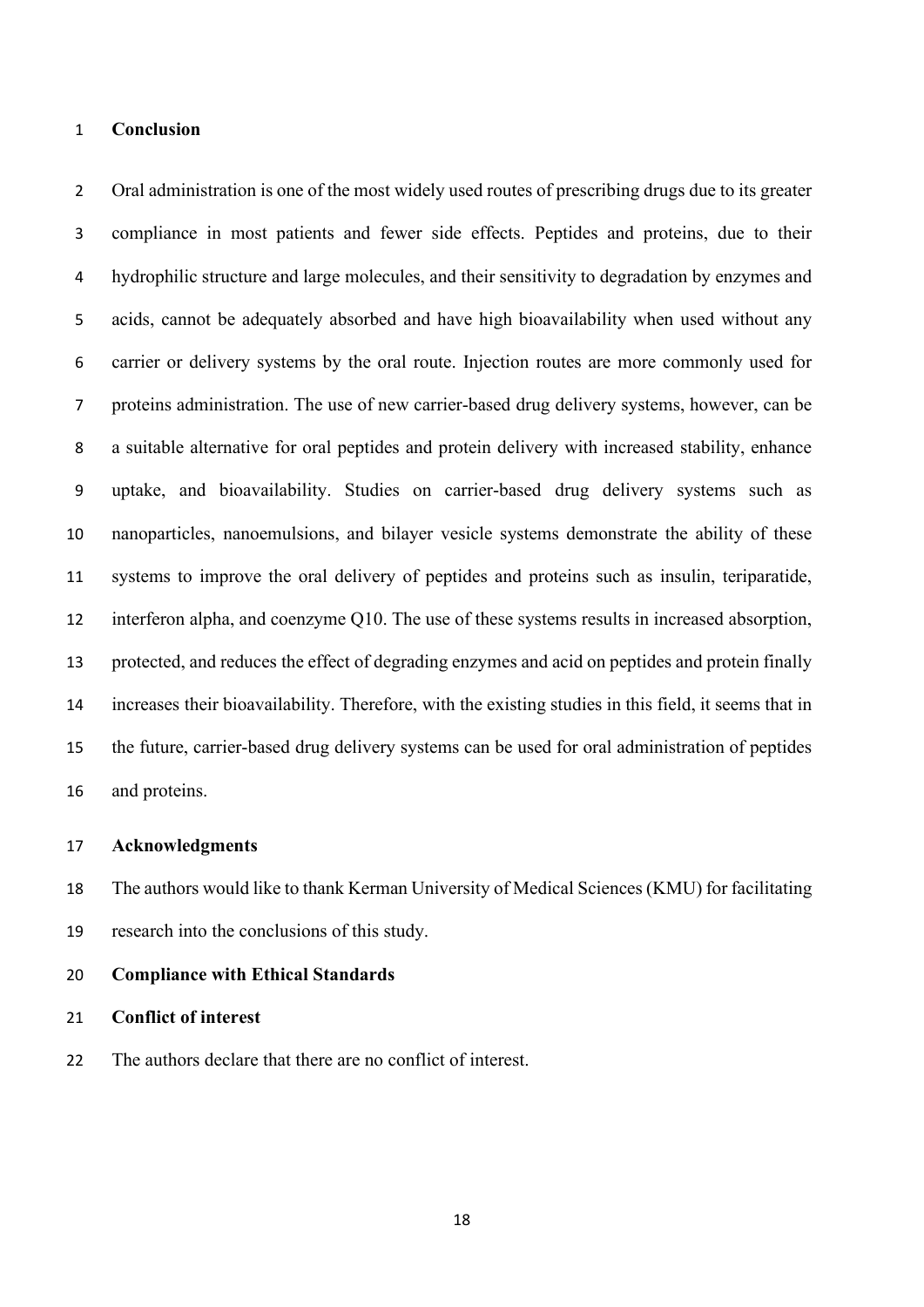# **Conclusion**

2 Oral administration is one of the most widely used routes of prescribing drugs due to its greater compliance in most patients and fewer side effects. Peptides and proteins, due to their hydrophilic structure and large molecules, and their sensitivity to degradation by enzymes and acids, cannot be adequately absorbed and have high bioavailability when used without any carrier or delivery systems by the oral route. Injection routes are more commonly used for proteins administration. The use of new carrier-based drug delivery systems, however, can be a suitable alternative for oral peptides and protein delivery with increased stability, enhance uptake, and bioavailability. Studies on carrier-based drug delivery systems such as nanoparticles, nanoemulsions, and bilayer vesicle systems demonstrate the ability of these systems to improve the oral delivery of peptides and proteins such as insulin, teriparatide, interferon alpha, and coenzyme Q10. The use of these systems results in increased absorption, protected, and reduces the effect of degrading enzymes and acid on peptides and protein finally increases their bioavailability. Therefore, with the existing studies in this field, it seems that in the future, carrier-based drug delivery systems can be used for oral administration of peptides and proteins.

#### **Acknowledgments**

 The authors would like to thank Kerman University of Medical Sciences (KMU) for facilitating research into the conclusions of this study.

#### **Compliance with Ethical Standards**

**Conflict of interest** 

The authors declare that there are no conflict of interest.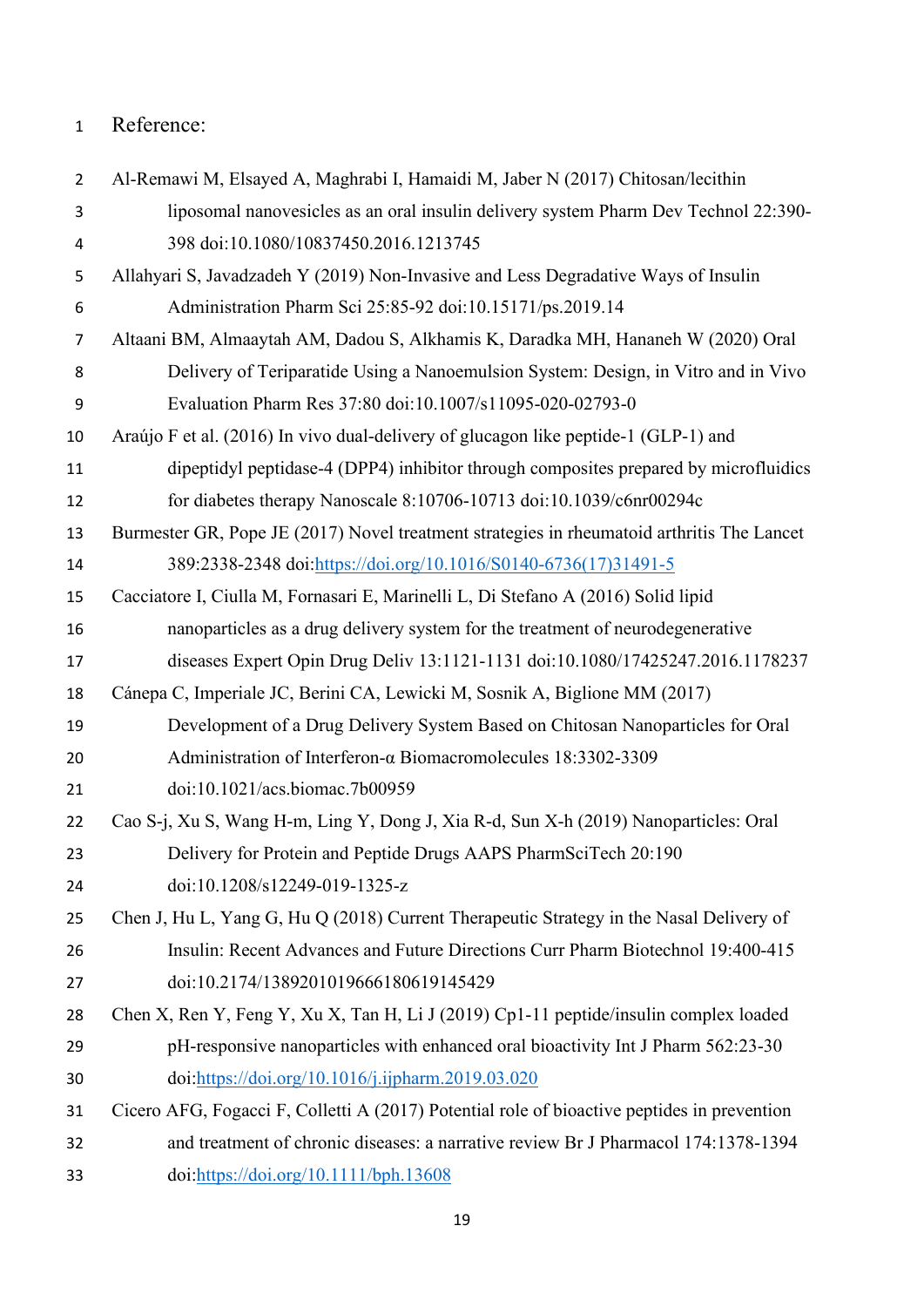# Reference:

| $\overline{2}$ | Al-Remawi M, Elsayed A, Maghrabi I, Hamaidi M, Jaber N (2017) Chitosan/lecithin             |
|----------------|---------------------------------------------------------------------------------------------|
| 3              | liposomal nanovesicles as an oral insulin delivery system Pharm Dev Technol 22:390-         |
| 4              | 398 doi:10.1080/10837450.2016.1213745                                                       |
| 5              | Allahyari S, Javadzadeh Y (2019) Non-Invasive and Less Degradative Ways of Insulin          |
| 6              | Administration Pharm Sci 25:85-92 doi:10.15171/ps.2019.14                                   |
| $\overline{7}$ | Altaani BM, Almaaytah AM, Dadou S, Alkhamis K, Daradka MH, Hananeh W (2020) Oral            |
| 8              | Delivery of Teriparatide Using a Nanoemulsion System: Design, in Vitro and in Vivo          |
| 9              | Evaluation Pharm Res 37:80 doi:10.1007/s11095-020-02793-0                                   |
| 10             | Araújo F et al. (2016) In vivo dual-delivery of glucagon like peptide-1 (GLP-1) and         |
| 11             | dipeptidyl peptidase-4 (DPP4) inhibitor through composites prepared by microfluidics        |
| 12             | for diabetes therapy Nanoscale 8:10706-10713 doi:10.1039/c6nr00294c                         |
| 13             | Burmester GR, Pope JE (2017) Novel treatment strategies in rheumatoid arthritis The Lancet  |
| 14             | 389:2338-2348 doi:https://doi.org/10.1016/S0140-6736(17)31491-5                             |
| 15             | Cacciatore I, Ciulla M, Fornasari E, Marinelli L, Di Stefano A (2016) Solid lipid           |
| 16             | nanoparticles as a drug delivery system for the treatment of neurodegenerative              |
| 17             | diseases Expert Opin Drug Deliv 13:1121-1131 doi:10.1080/17425247.2016.1178237              |
| 18             | Cánepa C, Imperiale JC, Berini CA, Lewicki M, Sosnik A, Biglione MM (2017)                  |
| 19             | Development of a Drug Delivery System Based on Chitosan Nanoparticles for Oral              |
| 20             | Administration of Interferon- $\alpha$ Biomacromolecules 18:3302-3309                       |
| 21             | doi:10.1021/acs.biomac.7b00959                                                              |
| 22             | Cao S-j, Xu S, Wang H-m, Ling Y, Dong J, Xia R-d, Sun X-h (2019) Nanoparticles: Oral        |
| 23             | Delivery for Protein and Peptide Drugs AAPS PharmSciTech 20:190                             |
| 24             | doi:10.1208/s12249-019-1325-z                                                               |
| 25             | Chen J, Hu L, Yang G, Hu Q (2018) Current Therapeutic Strategy in the Nasal Delivery of     |
| 26             | Insulin: Recent Advances and Future Directions Curr Pharm Biotechnol 19:400-415             |
| 27             | doi:10.2174/1389201019666180619145429                                                       |
| 28             | Chen X, Ren Y, Feng Y, Xu X, Tan H, Li J (2019) Cp1-11 peptide/insulin complex loaded       |
| 29             | pH-responsive nanoparticles with enhanced oral bioactivity Int J Pharm 562:23-30            |
| 30             | doi:https://doi.org/10.1016/j.ijpharm.2019.03.020                                           |
| 31             | Cicero AFG, Fogacci F, Colletti A (2017) Potential role of bioactive peptides in prevention |
| 32             | and treatment of chronic diseases: a narrative review Br J Pharmacol 174:1378-1394          |
| 33             | doi:https://doi.org/10.1111/bph.13608                                                       |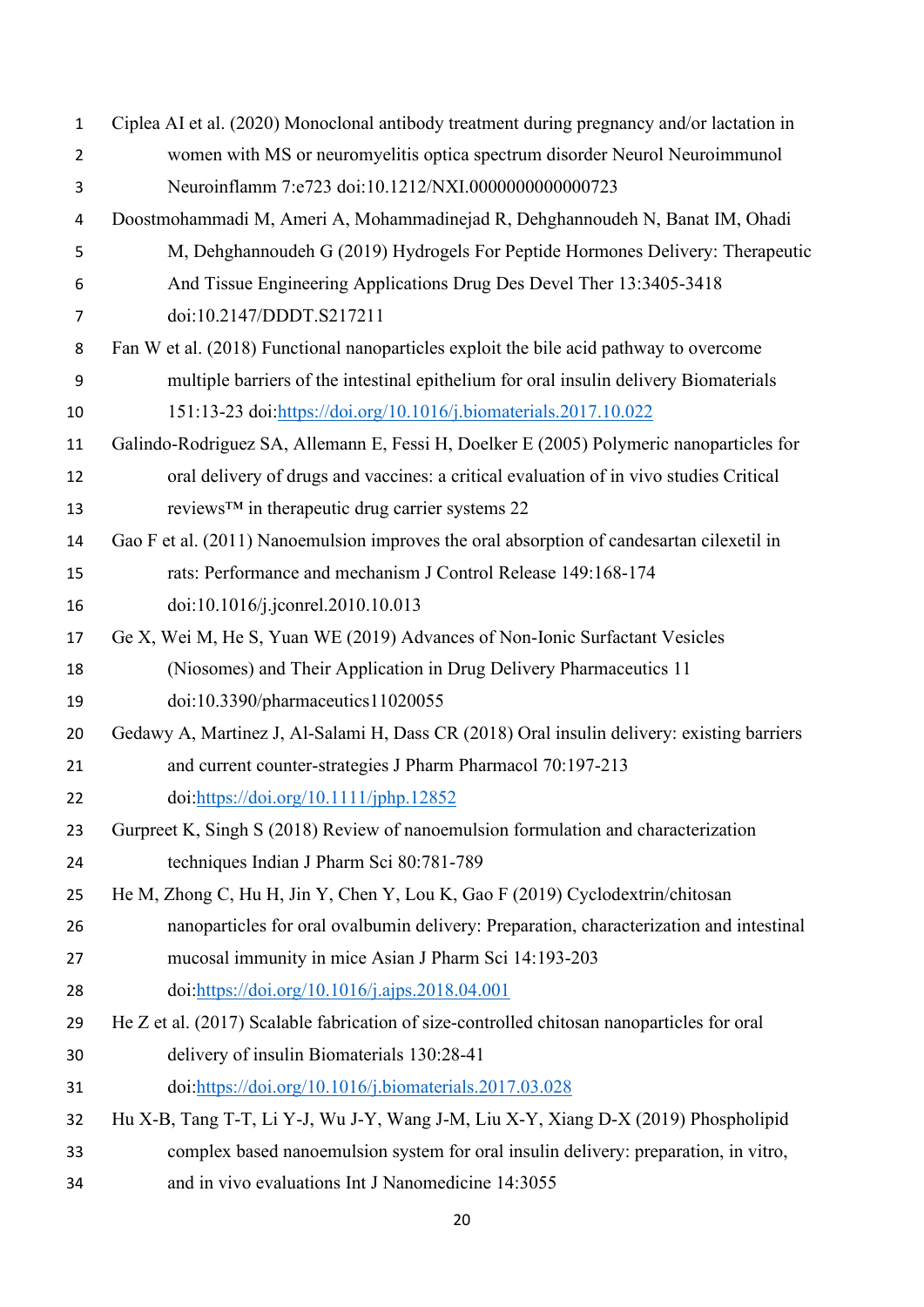| $\mathbf{1}$   | Ciplea AI et al. (2020) Monoclonal antibody treatment during pregnancy and/or lactation in |
|----------------|--------------------------------------------------------------------------------------------|
| $\overline{2}$ | women with MS or neuromyelitis optica spectrum disorder Neurol Neuroimmunol                |
| 3              | Neuroinflamm 7:e723 doi:10.1212/NXI.0000000000000723                                       |
| 4              | Doostmohammadi M, Ameri A, Mohammadinejad R, Dehghannoudeh N, Banat IM, Ohadi              |
| 5              | M, Dehghannoudeh G (2019) Hydrogels For Peptide Hormones Delivery: Therapeutic             |
| 6              | And Tissue Engineering Applications Drug Des Devel Ther 13:3405-3418                       |
| 7              | doi:10.2147/DDDT.S217211                                                                   |
| 8              | Fan W et al. (2018) Functional nanoparticles exploit the bile acid pathway to overcome     |
| 9              | multiple barriers of the intestinal epithelium for oral insulin delivery Biomaterials      |
| 10             | 151:13-23 doi:https://doi.org/10.1016/j.biomaterials.2017.10.022                           |
| 11             | Galindo-Rodriguez SA, Allemann E, Fessi H, Doelker E (2005) Polymeric nanoparticles for    |
| 12             | oral delivery of drugs and vaccines: a critical evaluation of in vivo studies Critical     |
| 13             | reviews™ in therapeutic drug carrier systems 22                                            |
| 14             | Gao F et al. (2011) Nanoemulsion improves the oral absorption of candesartan cilexetil in  |
| 15             | rats: Performance and mechanism J Control Release 149:168-174                              |
| 16             | doi:10.1016/j.jconrel.2010.10.013                                                          |
| 17             | Ge X, Wei M, He S, Yuan WE (2019) Advances of Non-Ionic Surfactant Vesicles                |
| 18             | (Niosomes) and Their Application in Drug Delivery Pharmaceutics 11                         |
| 19             | doi:10.3390/pharmaceutics11020055                                                          |
| 20             | Gedawy A, Martinez J, Al-Salami H, Dass CR (2018) Oral insulin delivery: existing barriers |
| 21             | and current counter-strategies J Pharm Pharmacol 70:197-213                                |
| 22             | doi:https://doi.org/10.1111/jphp.12852                                                     |
| 23             | Gurpreet K, Singh S (2018) Review of nanoemulsion formulation and characterization         |
| 24             | techniques Indian J Pharm Sci 80:781-789                                                   |
| 25             | He M, Zhong C, Hu H, Jin Y, Chen Y, Lou K, Gao F (2019) Cyclodextrin/chitosan              |
| 26             | nanoparticles for oral ovalbumin delivery: Preparation, characterization and intestinal    |
| 27             | mucosal immunity in mice Asian J Pharm Sci 14:193-203                                      |
| 28             | doi:https://doi.org/10.1016/j.ajps.2018.04.001                                             |
| 29             | He Z et al. (2017) Scalable fabrication of size-controlled chitosan nanoparticles for oral |
| 30             | delivery of insulin Biomaterials 130:28-41                                                 |
| 31             | doi:https://doi.org/10.1016/j.biomaterials.2017.03.028                                     |
| 32             | Hu X-B, Tang T-T, Li Y-J, Wu J-Y, Wang J-M, Liu X-Y, Xiang D-X (2019) Phospholipid         |
| 33             | complex based nanoemulsion system for oral insulin delivery: preparation, in vitro,        |
| 34             | and in vivo evaluations Int J Nanomedicine 14:3055                                         |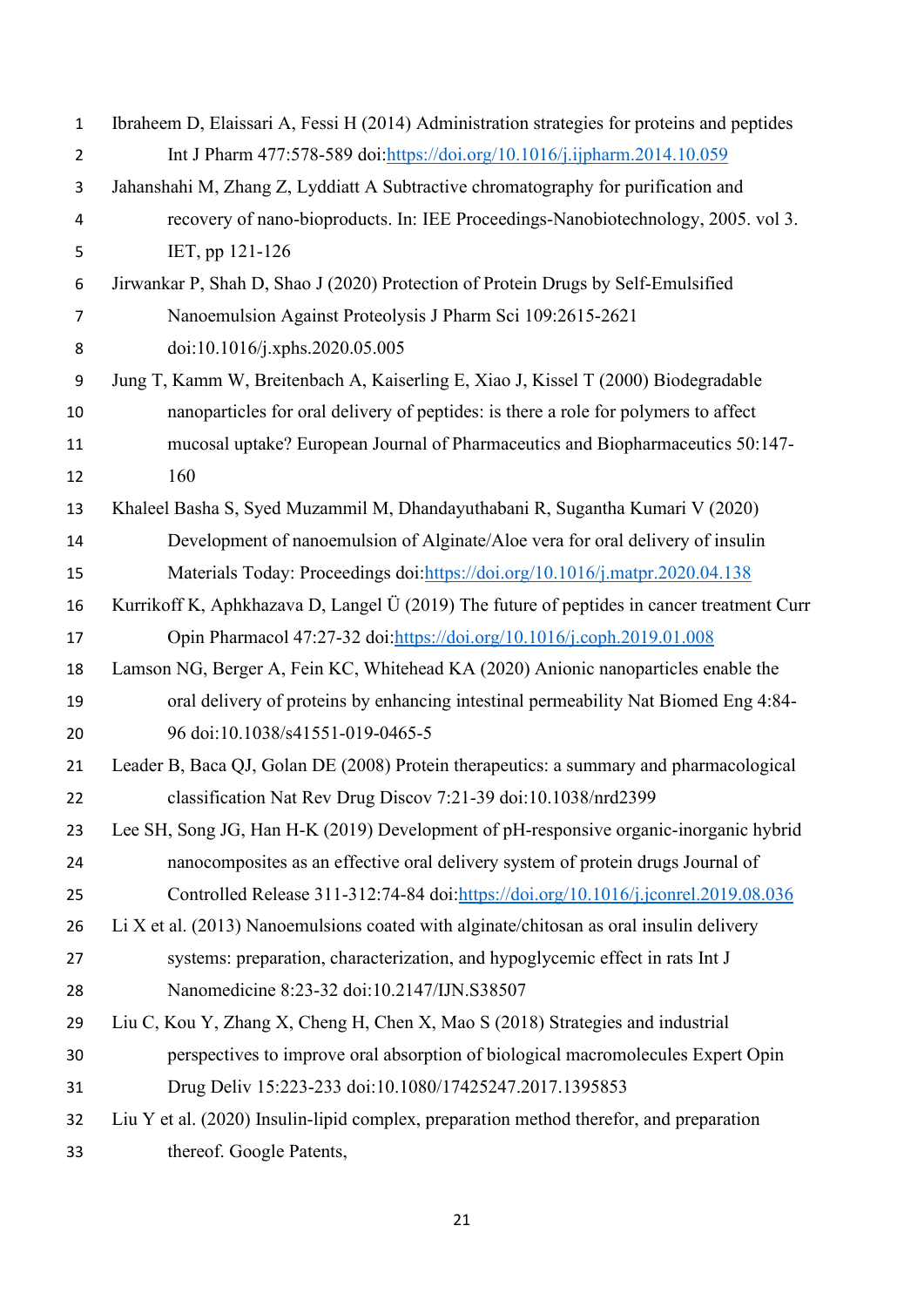| $\mathbf{1}$   | Ibraheem D, Elaissari A, Fessi H (2014) Administration strategies for proteins and peptides |
|----------------|---------------------------------------------------------------------------------------------|
| $\overline{2}$ | Int J Pharm 477:578-589 doi:https://doi.org/10.1016/j.ijpharm.2014.10.059                   |
| 3              | Jahanshahi M, Zhang Z, Lyddiatt A Subtractive chromatography for purification and           |
| 4              | recovery of nano-bioproducts. In: IEE Proceedings-Nanobiotechnology, 2005. vol 3.           |
| 5              | IET, pp 121-126                                                                             |
| 6              | Jirwankar P, Shah D, Shao J (2020) Protection of Protein Drugs by Self-Emulsified           |
| $\overline{7}$ | Nanoemulsion Against Proteolysis J Pharm Sci 109:2615-2621                                  |
| 8              | doi:10.1016/j.xphs.2020.05.005                                                              |
| 9              | Jung T, Kamm W, Breitenbach A, Kaiserling E, Xiao J, Kissel T (2000) Biodegradable          |
| 10             | nanoparticles for oral delivery of peptides: is there a role for polymers to affect         |
| 11             | mucosal uptake? European Journal of Pharmaceutics and Biopharmaceutics 50:147-              |
| 12             | 160                                                                                         |
| 13             | Khaleel Basha S, Syed Muzammil M, Dhandayuthabani R, Sugantha Kumari V (2020)               |
| 14             | Development of nanoemulsion of Alginate/Aloe vera for oral delivery of insulin              |
| 15             | Materials Today: Proceedings doi: https://doi.org/10.1016/j.matpr.2020.04.138               |
| 16             | Kurrikoff K, Aphkhazava D, Langel Ü (2019) The future of peptides in cancer treatment Curr  |
| 17             | Opin Pharmacol 47:27-32 doi:https://doi.org/10.1016/j.coph.2019.01.008                      |
| 18             | Lamson NG, Berger A, Fein KC, Whitehead KA (2020) Anionic nanoparticles enable the          |
| 19             | oral delivery of proteins by enhancing intestinal permeability Nat Biomed Eng 4:84-         |
| 20             | 96 doi:10.1038/s41551-019-0465-5                                                            |
| 21             | Leader B, Baca QJ, Golan DE (2008) Protein therapeutics: a summary and pharmacological      |
| 22             | classification Nat Rev Drug Discov 7:21-39 doi:10.1038/nrd2399                              |
| 23             | Lee SH, Song JG, Han H-K (2019) Development of pH-responsive organic-inorganic hybrid       |
| 24             | nanocomposites as an effective oral delivery system of protein drugs Journal of             |
| 25             | Controlled Release 311-312:74-84 doi:https://doi.org/10.1016/j.jconrel.2019.08.036          |
| 26             | Li X et al. (2013) Nanoemulsions coated with alginate/chitosan as oral insulin delivery     |
| 27             | systems: preparation, characterization, and hypoglycemic effect in rats Int J               |
| 28             | Nanomedicine 8:23-32 doi:10.2147/IJN.S38507                                                 |
| 29             | Liu C, Kou Y, Zhang X, Cheng H, Chen X, Mao S (2018) Strategies and industrial              |
| 30             | perspectives to improve oral absorption of biological macromolecules Expert Opin            |
| 31             | Drug Deliv 15:223-233 doi:10.1080/17425247.2017.1395853                                     |
| 32             | Liu Y et al. (2020) Insulin-lipid complex, preparation method therefor, and preparation     |
| 33             | thereof. Google Patents,                                                                    |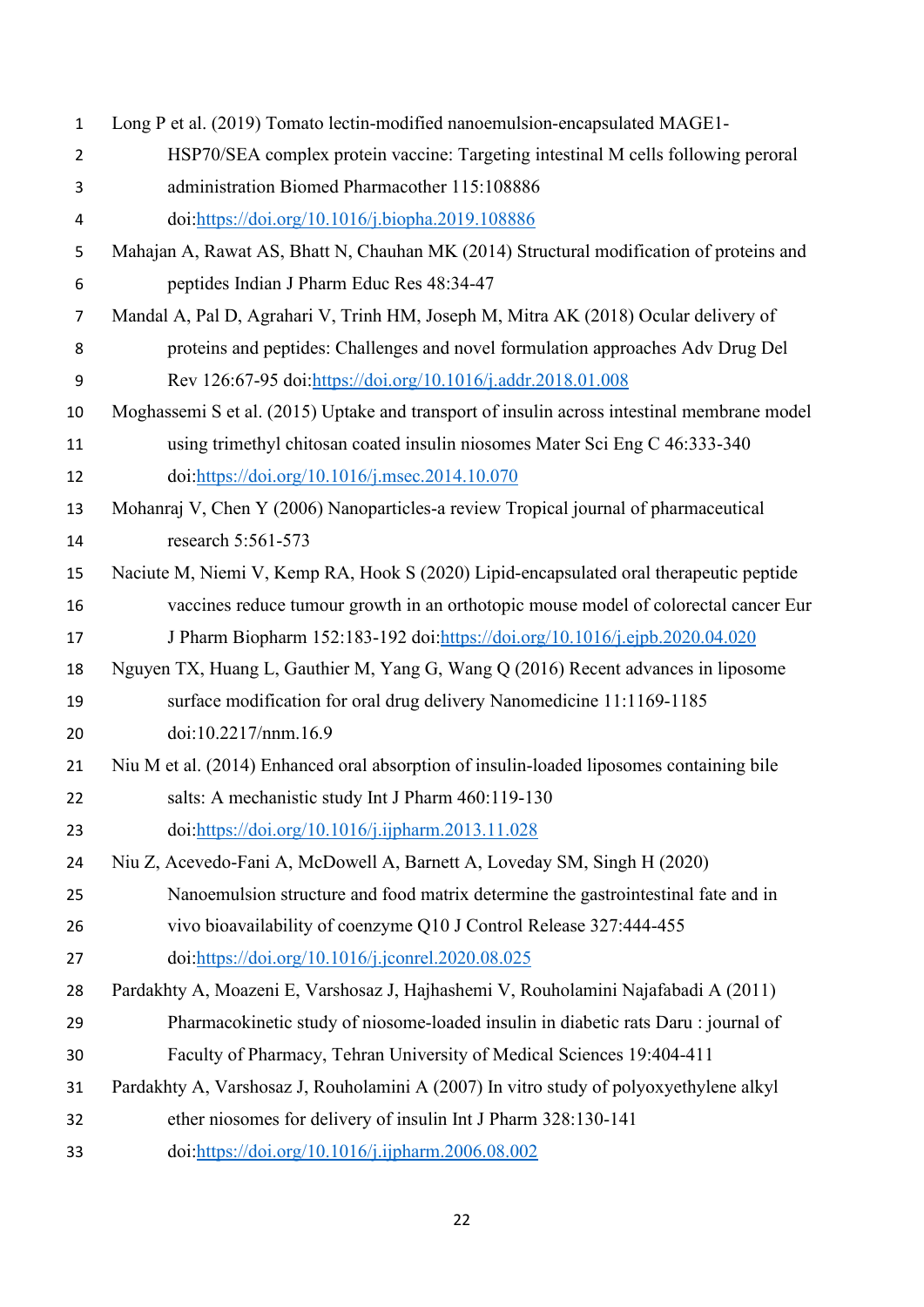| $\mathbf{1}$   | Long P et al. (2019) Tomato lectin-modified nanoemulsion-encapsulated MAGE1-                |
|----------------|---------------------------------------------------------------------------------------------|
| $\overline{2}$ | HSP70/SEA complex protein vaccine: Targeting intestinal M cells following peroral           |
| 3              | administration Biomed Pharmacother 115:108886                                               |
| 4              | doi:https://doi.org/10.1016/j.biopha.2019.108886                                            |
| 5              | Mahajan A, Rawat AS, Bhatt N, Chauhan MK (2014) Structural modification of proteins and     |
| 6              | peptides Indian J Pharm Educ Res 48:34-47                                                   |
| $\overline{7}$ | Mandal A, Pal D, Agrahari V, Trinh HM, Joseph M, Mitra AK (2018) Ocular delivery of         |
| 8              | proteins and peptides: Challenges and novel formulation approaches Adv Drug Del             |
| 9              | Rev 126:67-95 doi:https://doi.org/10.1016/j.addr.2018.01.008                                |
| 10             | Moghassemi S et al. (2015) Uptake and transport of insulin across intestinal membrane model |
| 11             | using trimethyl chitosan coated insulin niosomes Mater Sci Eng C 46:333-340                 |
| 12             | doi:https://doi.org/10.1016/j.msec.2014.10.070                                              |
| 13             | Mohanraj V, Chen Y (2006) Nanoparticles-a review Tropical journal of pharmaceutical         |
| 14             | research 5:561-573                                                                          |
| 15             | Naciute M, Niemi V, Kemp RA, Hook S (2020) Lipid-encapsulated oral therapeutic peptide      |
| 16             | vaccines reduce tumour growth in an orthotopic mouse model of colorectal cancer Eur         |
| 17             | J Pharm Biopharm 152:183-192 doi:https://doi.org/10.1016/j.ejpb.2020.04.020                 |
| 18             | Nguyen TX, Huang L, Gauthier M, Yang G, Wang Q (2016) Recent advances in liposome           |
| 19             | surface modification for oral drug delivery Nanomedicine 11:1169-1185                       |
| 20             | doi:10.2217/nnm.16.9                                                                        |
| 21             | Niu M et al. (2014) Enhanced oral absorption of insulin-loaded liposomes containing bile    |
| 22             | salts: A mechanistic study Int J Pharm 460:119-130                                          |
| 23             | doi:https://doi.org/10.1016/j.ijpharm.2013.11.028                                           |
| 24             | Niu Z, Acevedo-Fani A, McDowell A, Barnett A, Loveday SM, Singh H (2020)                    |
| 25             | Nanoemulsion structure and food matrix determine the gastrointestinal fate and in           |
| 26             | vivo bioavailability of coenzyme Q10 J Control Release 327:444-455                          |
| 27             | doi:https://doi.org/10.1016/j.jconrel.2020.08.025                                           |
| 28             | Pardakhty A, Moazeni E, Varshosaz J, Hajhashemi V, Rouholamini Najafabadi A (2011)          |
| 29             | Pharmacokinetic study of niosome-loaded insulin in diabetic rats Daru: journal of           |
| 30             | Faculty of Pharmacy, Tehran University of Medical Sciences 19:404-411                       |
| 31             | Pardakhty A, Varshosaz J, Rouholamini A (2007) In vitro study of polyoxyethylene alkyl      |
| 32             | ether niosomes for delivery of insulin Int J Pharm 328:130-141                              |
| 33             | doi:https://doi.org/10.1016/j.ijpharm.2006.08.002                                           |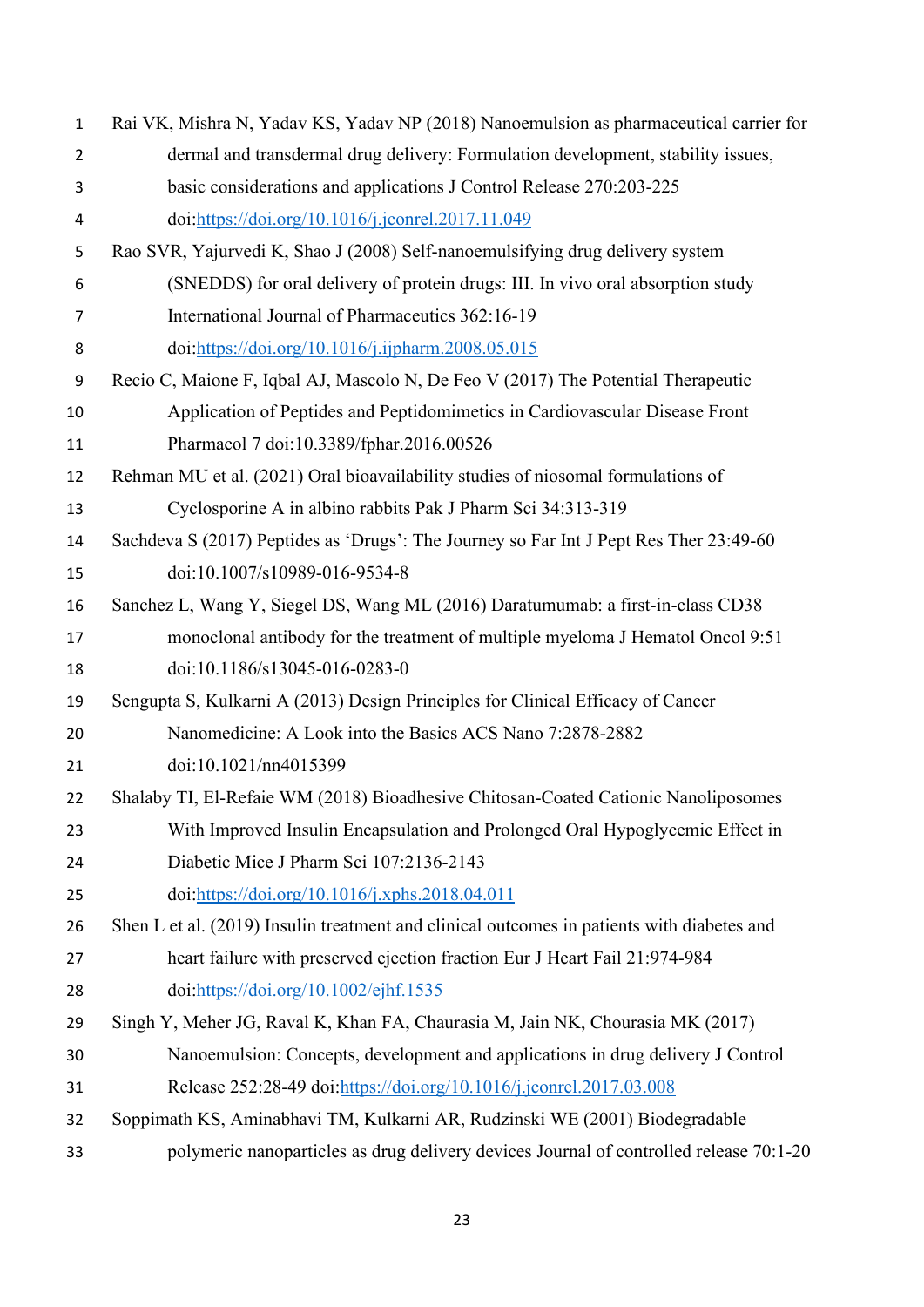| $\mathbf{1}$   | Rai VK, Mishra N, Yadav KS, Yadav NP (2018) Nanoemulsion as pharmaceutical carrier for     |
|----------------|--------------------------------------------------------------------------------------------|
| $\overline{2}$ | dermal and transdermal drug delivery: Formulation development, stability issues,           |
| 3              | basic considerations and applications J Control Release 270:203-225                        |
| 4              | doi:https://doi.org/10.1016/j.jconrel.2017.11.049                                          |
| 5              | Rao SVR, Yajurvedi K, Shao J (2008) Self-nanoemulsifying drug delivery system              |
| 6              | (SNEDDS) for oral delivery of protein drugs: III. In vivo oral absorption study            |
| 7              | International Journal of Pharmaceutics 362:16-19                                           |
| 8              | doi:https://doi.org/10.1016/j.ijpharm.2008.05.015                                          |
| 9              | Recio C, Maione F, Iqbal AJ, Mascolo N, De Feo V (2017) The Potential Therapeutic          |
| 10             | Application of Peptides and Peptidomimetics in Cardiovascular Disease Front                |
| 11             | Pharmacol 7 doi:10.3389/fphar.2016.00526                                                   |
| 12             | Rehman MU et al. (2021) Oral bioavailability studies of niosomal formulations of           |
| 13             | Cyclosporine A in albino rabbits Pak J Pharm Sci 34:313-319                                |
| 14             | Sachdeva S (2017) Peptides as 'Drugs': The Journey so Far Int J Pept Res Ther 23:49-60     |
| 15             | doi:10.1007/s10989-016-9534-8                                                              |
| 16             | Sanchez L, Wang Y, Siegel DS, Wang ML (2016) Daratumumab: a first-in-class CD38            |
| 17             | monoclonal antibody for the treatment of multiple myeloma J Hematol Oncol 9:51             |
| 18             | doi:10.1186/s13045-016-0283-0                                                              |
| 19             | Sengupta S, Kulkarni A (2013) Design Principles for Clinical Efficacy of Cancer            |
| 20             | Nanomedicine: A Look into the Basics ACS Nano 7:2878-2882                                  |
| 21             | doi:10.1021/nn4015399                                                                      |
| 22             | Shalaby TI, El-Refaie WM (2018) Bioadhesive Chitosan-Coated Cationic Nanoliposomes         |
| 23             | With Improved Insulin Encapsulation and Prolonged Oral Hypoglycemic Effect in              |
| 24             | Diabetic Mice J Pharm Sci 107:2136-2143                                                    |
| 25             | doi:https://doi.org/10.1016/j.xphs.2018.04.011                                             |
| 26             | Shen L et al. (2019) Insulin treatment and clinical outcomes in patients with diabetes and |
| 27             | heart failure with preserved ejection fraction Eur J Heart Fail 21:974-984                 |
| 28             | doi:https://doi.org/10.1002/ejhf.1535                                                      |
| 29             | Singh Y, Meher JG, Raval K, Khan FA, Chaurasia M, Jain NK, Chourasia MK (2017)             |
| 30             | Nanoemulsion: Concepts, development and applications in drug delivery J Control            |
| 31             | Release 252:28-49 doi:https://doi.org/10.1016/j.jconrel.2017.03.008                        |
| 32             | Soppimath KS, Aminabhavi TM, Kulkarni AR, Rudzinski WE (2001) Biodegradable                |
| 33             | polymeric nanoparticles as drug delivery devices Journal of controlled release 70:1-20     |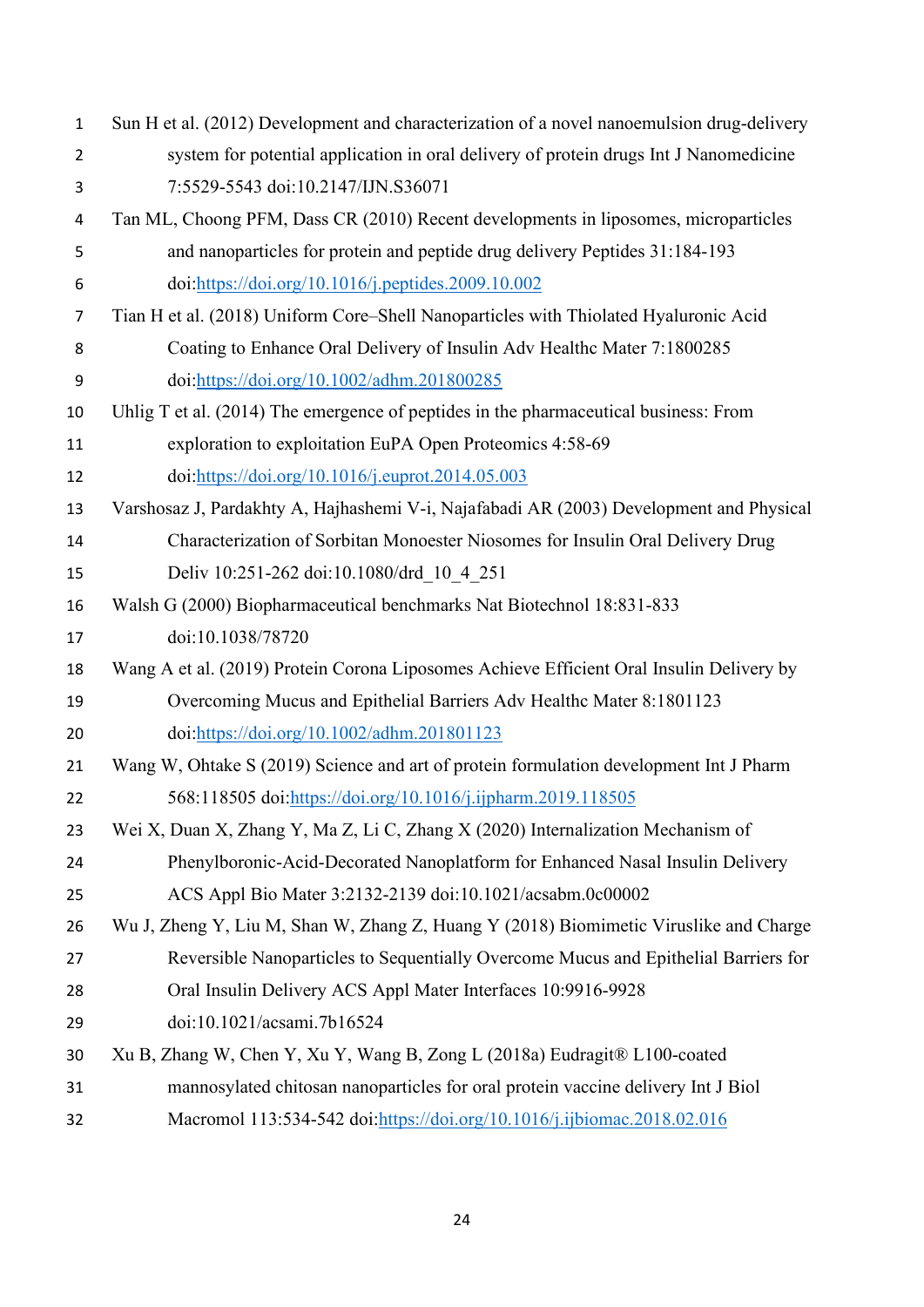Sun H et al. (2012) Development and characterization of a novel nanoemulsion drug-delivery system for potential application in oral delivery of protein drugs Int J Nanomedicine 7:5529-5543 doi:10.2147/IJN.S36071 Tan ML, Choong PFM, Dass CR (2010) Recent developments in liposomes, microparticles and nanoparticles for protein and peptide drug delivery Peptides 31:184-193 doi[:https://doi.org/10.1016/j.peptides.2009.10.002](https://doi.org/10.1016/j.peptides.2009.10.002) Tian H et al. (2018) Uniform Core–Shell Nanoparticles with Thiolated Hyaluronic Acid Coating to Enhance Oral Delivery of Insulin Adv Healthc Mater 7:1800285 doi[:https://doi.org/10.1002/adhm.201800285](https://doi.org/10.1002/adhm.201800285) Uhlig T et al. (2014) The emergence of peptides in the pharmaceutical business: From exploration to exploitation EuPA Open Proteomics 4:58-69 doi[:https://doi.org/10.1016/j.euprot.2014.05.003](https://doi.org/10.1016/j.euprot.2014.05.003) Varshosaz J, Pardakhty A, Hajhashemi V-i, Najafabadi AR (2003) Development and Physical Characterization of Sorbitan Monoester Niosomes for Insulin Oral Delivery Drug Deliv 10:251-262 doi:10.1080/drd\_10\_4\_251 Walsh G (2000) Biopharmaceutical benchmarks Nat Biotechnol 18:831-833 doi:10.1038/78720 Wang A et al. (2019) Protein Corona Liposomes Achieve Efficient Oral Insulin Delivery by Overcoming Mucus and Epithelial Barriers Adv Healthc Mater 8:1801123 doi[:https://doi.org/10.1002/adhm.201801123](https://doi.org/10.1002/adhm.201801123) Wang W, Ohtake S (2019) Science and art of protein formulation development Int J Pharm 568:118505 doi[:https://doi.org/10.1016/j.ijpharm.2019.118505](https://doi.org/10.1016/j.ijpharm.2019.118505) Wei X, Duan X, Zhang Y, Ma Z, Li C, Zhang X (2020) Internalization Mechanism of Phenylboronic-Acid-Decorated Nanoplatform for Enhanced Nasal Insulin Delivery ACS Appl Bio Mater 3:2132-2139 doi:10.1021/acsabm.0c00002 Wu J, Zheng Y, Liu M, Shan W, Zhang Z, Huang Y (2018) Biomimetic Viruslike and Charge Reversible Nanoparticles to Sequentially Overcome Mucus and Epithelial Barriers for Oral Insulin Delivery ACS Appl Mater Interfaces 10:9916-9928 doi:10.1021/acsami.7b16524 Xu B, Zhang W, Chen Y, Xu Y, Wang B, Zong L (2018a) Eudragit® L100-coated mannosylated chitosan nanoparticles for oral protein vaccine delivery Int J Biol Macromol 113:534-542 doi[:https://doi.org/10.1016/j.ijbiomac.2018.02.016](https://doi.org/10.1016/j.ijbiomac.2018.02.016)